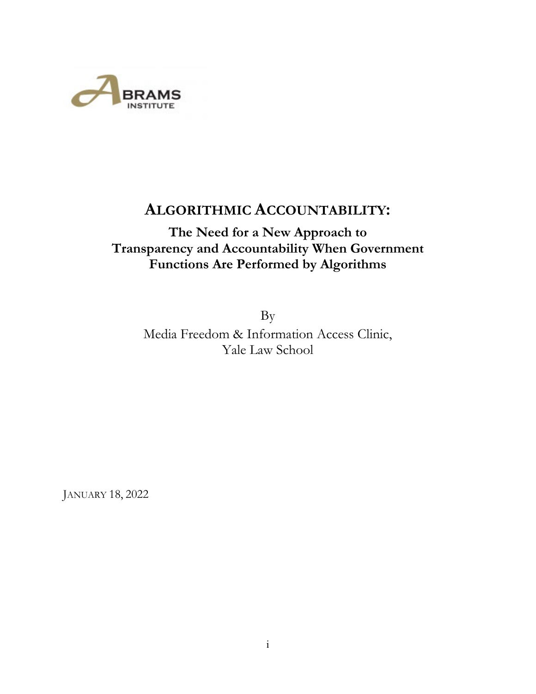

# **ALGORITHMIC ACCOUNTABILITY:**

# **The Need for a New Approach to Transparency and Accountability When Government Functions Are Performed by Algorithms**

By Media Freedom & Information Access Clinic, Yale Law School

JANUARY 18, 2022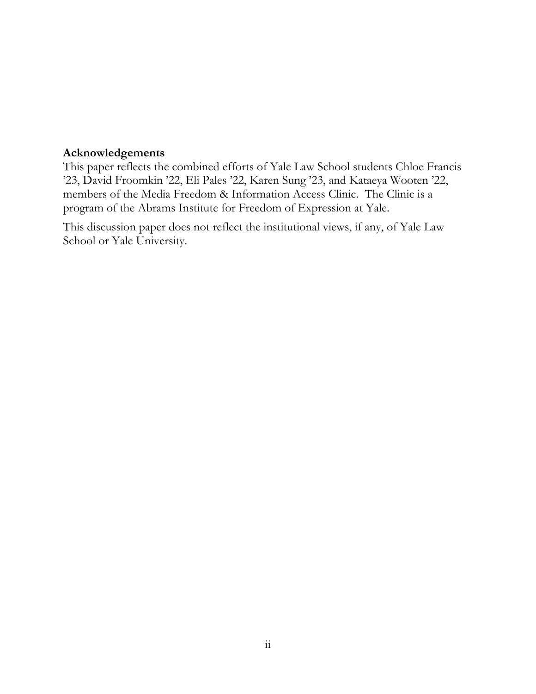## **Acknowledgements**

This paper reflects the combined efforts of Yale Law School students Chloe Francis '23, David Froomkin '22, Eli Pales '22, Karen Sung '23, and Kataeya Wooten '22, members of the Media Freedom & Information Access Clinic. The Clinic is a program of the Abrams Institute for Freedom of Expression at Yale.

This discussion paper does not reflect the institutional views, if any, of Yale Law School or Yale University.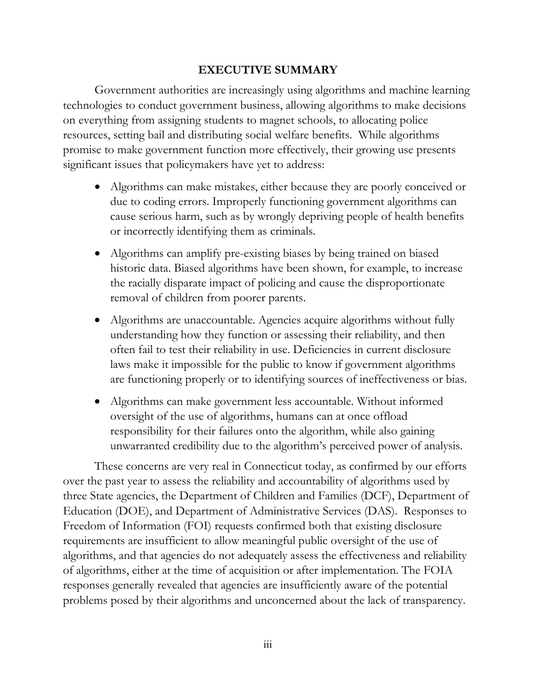## **EXECUTIVE SUMMARY**

Government authorities are increasingly using algorithms and machine learning technologies to conduct government business, allowing algorithms to make decisions on everything from assigning students to magnet schools, to allocating police resources, setting bail and distributing social welfare benefits. While algorithms promise to make government function more effectively, their growing use presents significant issues that policymakers have yet to address:

- Algorithms can make mistakes, either because they are poorly conceived or due to coding errors. Improperly functioning government algorithms can cause serious harm, such as by wrongly depriving people of health benefits or incorrectly identifying them as criminals.
- Algorithms can amplify pre-existing biases by being trained on biased historic data. Biased algorithms have been shown, for example, to increase the racially disparate impact of policing and cause the disproportionate removal of children from poorer parents.
- Algorithms are unaccountable. Agencies acquire algorithms without fully understanding how they function or assessing their reliability, and then often fail to test their reliability in use. Deficiencies in current disclosure laws make it impossible for the public to know if government algorithms are functioning properly or to identifying sources of ineffectiveness or bias.
- Algorithms can make government less accountable. Without informed oversight of the use of algorithms, humans can at once offload responsibility for their failures onto the algorithm, while also gaining unwarranted credibility due to the algorithm's perceived power of analysis.

These concerns are very real in Connecticut today, as confirmed by our efforts over the past year to assess the reliability and accountability of algorithms used by three State agencies, the Department of Children and Families (DCF), Department of Education (DOE), and Department of Administrative Services (DAS). Responses to Freedom of Information (FOI) requests confirmed both that existing disclosure requirements are insufficient to allow meaningful public oversight of the use of algorithms, and that agencies do not adequately assess the effectiveness and reliability of algorithms, either at the time of acquisition or after implementation. The FOIA responses generally revealed that agencies are insufficiently aware of the potential problems posed by their algorithms and unconcerned about the lack of transparency.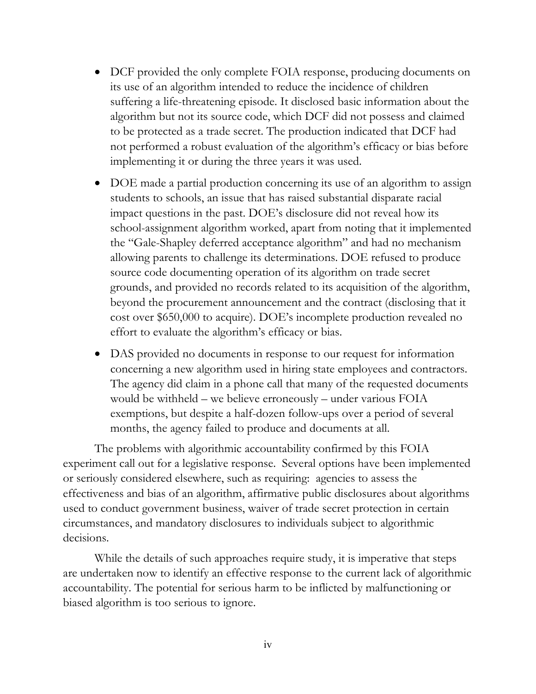- DCF provided the only complete FOIA response, producing documents on its use of an algorithm intended to reduce the incidence of children suffering a life-threatening episode. It disclosed basic information about the algorithm but not its source code, which DCF did not possess and claimed to be protected as a trade secret. The production indicated that DCF had not performed a robust evaluation of the algorithm's efficacy or bias before implementing it or during the three years it was used.
- DOE made a partial production concerning its use of an algorithm to assign students to schools, an issue that has raised substantial disparate racial impact questions in the past. DOE's disclosure did not reveal how its school-assignment algorithm worked, apart from noting that it implemented the "Gale-Shapley deferred acceptance algorithm" and had no mechanism allowing parents to challenge its determinations. DOE refused to produce source code documenting operation of its algorithm on trade secret grounds, and provided no records related to its acquisition of the algorithm, beyond the procurement announcement and the contract (disclosing that it cost over \$650,000 to acquire). DOE's incomplete production revealed no effort to evaluate the algorithm's efficacy or bias.
- DAS provided no documents in response to our request for information concerning a new algorithm used in hiring state employees and contractors. The agency did claim in a phone call that many of the requested documents would be withheld – we believe erroneously – under various FOIA exemptions, but despite a half-dozen follow-ups over a period of several months, the agency failed to produce and documents at all.

The problems with algorithmic accountability confirmed by this FOIA experiment call out for a legislative response. Several options have been implemented or seriously considered elsewhere, such as requiring: agencies to assess the effectiveness and bias of an algorithm, affirmative public disclosures about algorithms used to conduct government business, waiver of trade secret protection in certain circumstances, and mandatory disclosures to individuals subject to algorithmic decisions.

While the details of such approaches require study, it is imperative that steps are undertaken now to identify an effective response to the current lack of algorithmic accountability. The potential for serious harm to be inflicted by malfunctioning or biased algorithm is too serious to ignore.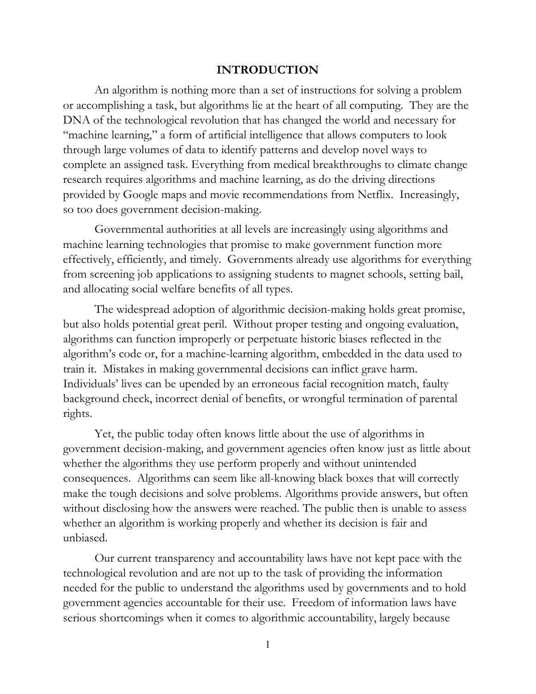#### **INTRODUCTION**

An algorithm is nothing more than a set of instructions for solving a problem or accomplishing a task, but algorithms lie at the heart of all computing. They are the DNA of the technological revolution that has changed the world and necessary for "machine learning," a form of artificial intelligence that allows computers to look through large volumes of data to identify patterns and develop novel ways to complete an assigned task. Everything from medical breakthroughs to climate change research requires algorithms and machine learning, as do the driving directions provided by Google maps and movie recommendations from Netflix. Increasingly, so too does government decision-making.

Governmental authorities at all levels are increasingly using algorithms and machine learning technologies that promise to make government function more effectively, efficiently, and timely. Governments already use algorithms for everything from screening job applications to assigning students to magnet schools, setting bail, and allocating social welfare benefits of all types.

The widespread adoption of algorithmic decision-making holds great promise, but also holds potential great peril. Without proper testing and ongoing evaluation, algorithms can function improperly or perpetuate historic biases reflected in the algorithm's code or, for a machine-learning algorithm, embedded in the data used to train it. Mistakes in making governmental decisions can inflict grave harm. Individuals' lives can be upended by an erroneous facial recognition match, faulty background check, incorrect denial of benefits, or wrongful termination of parental rights.

Yet, the public today often knows little about the use of algorithms in government decision-making, and government agencies often know just as little about whether the algorithms they use perform properly and without unintended consequences. Algorithms can seem like all-knowing black boxes that will correctly make the tough decisions and solve problems. Algorithms provide answers, but often without disclosing how the answers were reached. The public then is unable to assess whether an algorithm is working properly and whether its decision is fair and unbiased.

Our current transparency and accountability laws have not kept pace with the technological revolution and are not up to the task of providing the information needed for the public to understand the algorithms used by governments and to hold government agencies accountable for their use. Freedom of information laws have serious shortcomings when it comes to algorithmic accountability, largely because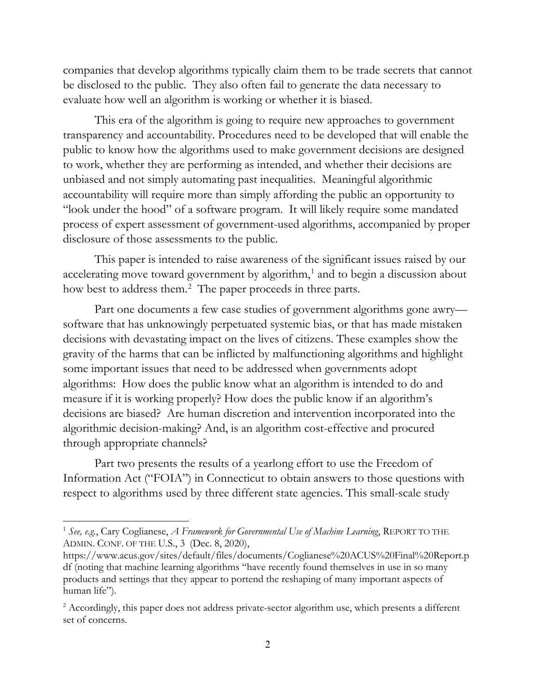companies that develop algorithms typically claim them to be trade secrets that cannot be disclosed to the public. They also often fail to generate the data necessary to evaluate how well an algorithm is working or whether it is biased.

This era of the algorithm is going to require new approaches to government transparency and accountability. Procedures need to be developed that will enable the public to know how the algorithms used to make government decisions are designed to work, whether they are performing as intended, and whether their decisions are unbiased and not simply automating past inequalities. Meaningful algorithmic accountability will require more than simply affording the public an opportunity to "look under the hood" of a software program. It will likely require some mandated process of expert assessment of government-used algorithms, accompanied by proper disclosure of those assessments to the public.

This paper is intended to raise awareness of the significant issues raised by our accelerating move toward government by algorithm,<sup>[1](#page-5-0)</sup> and to begin a discussion about how best to address them.<sup>[2](#page-5-1)</sup> The paper proceeds in three parts.

Part one documents a few case studies of government algorithms gone awry software that has unknowingly perpetuated systemic bias, or that has made mistaken decisions with devastating impact on the lives of citizens. These examples show the gravity of the harms that can be inflicted by malfunctioning algorithms and highlight some important issues that need to be addressed when governments adopt algorithms: How does the public know what an algorithm is intended to do and measure if it is working properly? How does the public know if an algorithm's decisions are biased? Are human discretion and intervention incorporated into the algorithmic decision-making? And, is an algorithm cost-effective and procured through appropriate channels?

Part two presents the results of a yearlong effort to use the Freedom of Information Act ("FOIA") in Connecticut to obtain answers to those questions with respect to algorithms used by three different state agencies. This small-scale study

<span id="page-5-0"></span><sup>1</sup> *See, e.g.*, Cary Coglianese, *A Framework for Governmental Use of Machine Learning*, REPORT TO THE ADMIN. CONF. OF THE U.S., 3 (Dec. 8, 2020),

[https://www.acus.gov/sites/default/files/documents/Coglianese%20ACUS%20Final%20Report.p](https://www.acus.gov/sites/default/files/documents/Coglianese%20ACUS%20Final%20Report.pdf) [df](https://www.acus.gov/sites/default/files/documents/Coglianese%20ACUS%20Final%20Report.pdf) (noting that machine learning algorithms "have recently found themselves in use in so many products and settings that they appear to portend the reshaping of many important aspects of human life").

<span id="page-5-1"></span><sup>&</sup>lt;sup>2</sup> Accordingly, this paper does not address private-sector algorithm use, which presents a different set of concerns.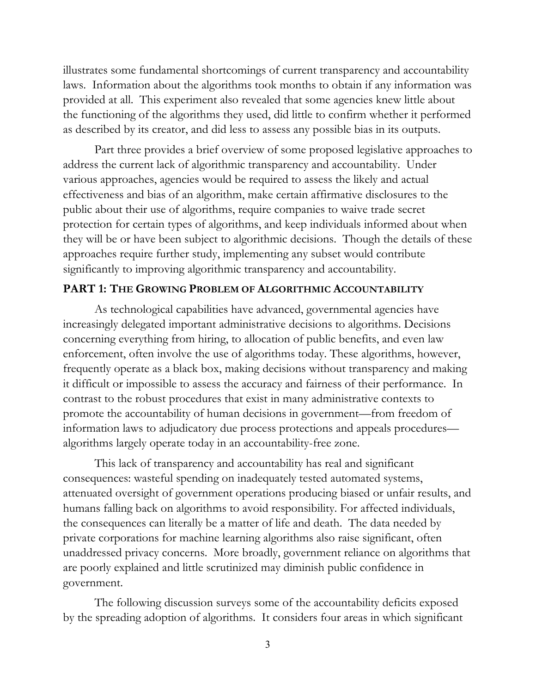illustrates some fundamental shortcomings of current transparency and accountability laws. Information about the algorithms took months to obtain if any information was provided at all. This experiment also revealed that some agencies knew little about the functioning of the algorithms they used, did little to confirm whether it performed as described by its creator, and did less to assess any possible bias in its outputs.

Part three provides a brief overview of some proposed legislative approaches to address the current lack of algorithmic transparency and accountability. Under various approaches, agencies would be required to assess the likely and actual effectiveness and bias of an algorithm, make certain affirmative disclosures to the public about their use of algorithms, require companies to waive trade secret protection for certain types of algorithms, and keep individuals informed about when they will be or have been subject to algorithmic decisions. Though the details of these approaches require further study, implementing any subset would contribute significantly to improving algorithmic transparency and accountability.

#### **PART 1: THE GROWING PROBLEM OF ALGORITHMIC ACCOUNTABILITY**

As technological capabilities have advanced, governmental agencies have increasingly delegated important administrative decisions to algorithms. Decisions concerning everything from hiring, to allocation of public benefits, and even law enforcement, often involve the use of algorithms today. These algorithms, however, frequently operate as a black box, making decisions without transparency and making it difficult or impossible to assess the accuracy and fairness of their performance. In contrast to the robust procedures that exist in many administrative contexts to promote the accountability of human decisions in government—from freedom of information laws to adjudicatory due process protections and appeals procedures algorithms largely operate today in an accountability-free zone.

This lack of transparency and accountability has real and significant consequences: wasteful spending on inadequately tested automated systems, attenuated oversight of government operations producing biased or unfair results, and humans falling back on algorithms to avoid responsibility. For affected individuals, the consequences can literally be a matter of life and death. The data needed by private corporations for machine learning algorithms also raise significant, often unaddressed privacy concerns. More broadly, government reliance on algorithms that are poorly explained and little scrutinized may diminish public confidence in government.

The following discussion surveys some of the accountability deficits exposed by the spreading adoption of algorithms. It considers four areas in which significant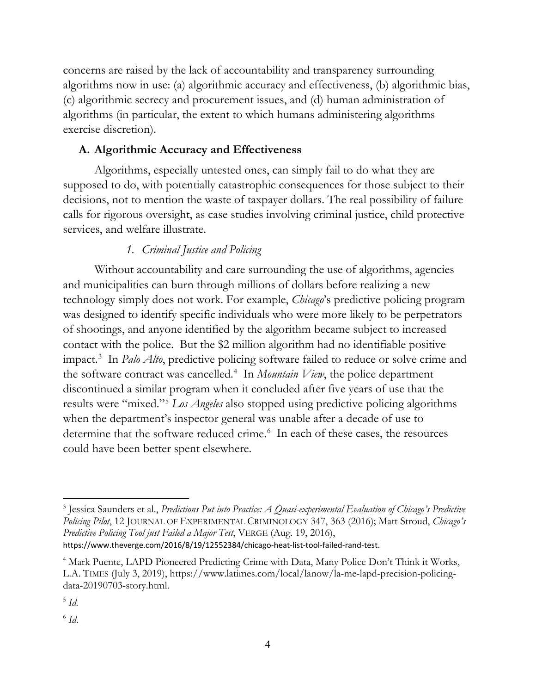concerns are raised by the lack of accountability and transparency surrounding algorithms now in use: (a) algorithmic accuracy and effectiveness, (b) algorithmic bias, (c) algorithmic secrecy and procurement issues, and (d) human administration of algorithms (in particular, the extent to which humans administering algorithms exercise discretion).

# **A. Algorithmic Accuracy and Effectiveness**

Algorithms, especially untested ones, can simply fail to do what they are supposed to do, with potentially catastrophic consequences for those subject to their decisions, not to mention the waste of taxpayer dollars. The real possibility of failure calls for rigorous oversight, as case studies involving criminal justice, child protective services, and welfare illustrate.

# *1. Criminal Justice and Policing*

Without accountability and care surrounding the use of algorithms, agencies and municipalities can burn through millions of dollars before realizing a new technology simply does not work. For example, *Chicago*'s predictive policing program was designed to identify specific individuals who were more likely to be perpetrators of shootings, and anyone identified by the algorithm became subject to increased contact with the police. But the \$2 million algorithm had no identifiable positive impact. [3](#page-7-0) In *Palo Alto*, predictive policing software failed to reduce or solve crime and the software contract was cancelled. [4](#page-7-1) In *Mountain View*, the police department discontinued a similar program when it concluded after five years of use that the results were "mixed."[5](#page-7-2) *Los Angeles* also stopped using predictive policing algorithms when the department's inspector general was unable after a decade of use to determine that the software reduced crime.<sup>[6](#page-7-3)</sup> In each of these cases, the resources could have been better spent elsewhere.

<https://www.theverge.com/2016/8/19/12552384/chicago-heat-list-tool-failed-rand-test>.

<span id="page-7-0"></span><sup>3</sup> Jessica Saunders et al., *Predictions Put into Practice: A Quasi-experimental Evaluation of Chicago's Predictive Policing Pilot*, 12 JOURNAL OF EXPERIMENTAL CRIMINOLOGY 347, 363 (2016); Matt Stroud, *Chicago's Predictive Policing Tool just Failed a Major Test*, VERGE (Aug. 19, 2016),

<span id="page-7-1"></span><sup>&</sup>lt;sup>4</sup> Mark Puente, LAPD Pioneered Predicting Crime with Data, Many Police Don't Think it Works, L.A. TIMES (July 3, 2019), [https://www.latimes.com/local/lanow/la-me-lapd-precision-policing](https://www.latimes.com/local/lanow/la-me-lapd-precision-policing-data-20190703-story.html)[data-20190703-story.html.](https://www.latimes.com/local/lanow/la-me-lapd-precision-policing-data-20190703-story.html)

<span id="page-7-2"></span><sup>5</sup> *Id.*

<span id="page-7-3"></span> $^6$  *Id.*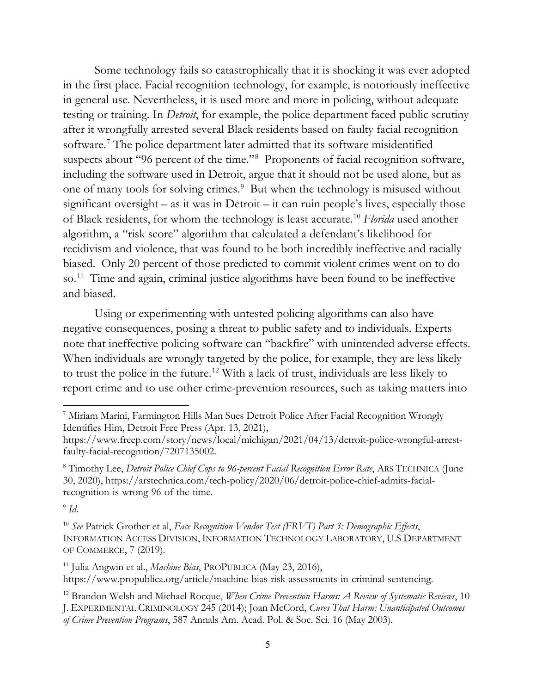Some technology fails so catastrophically that it is shocking it was ever adopted in the first place. Facial recognition technology, for example, is notoriously ineffective in general use. Nevertheless, it is used more and more in policing, without adequate testing or training. In *Detroit*, for example, the police department faced public scrutiny after it wrongfully arrested several Black residents based on faulty facial recognition software.[7](#page-8-0) The police department later admitted that its software misidentified suspects about "96 percent of the time."<sup>[8](#page-8-1)</sup> Proponents of facial recognition software, including the software used in Detroit, argue that it should not be used alone, but as one of many tools for solving crimes.<sup>[9](#page-8-2)</sup> But when the technology is misused without significant oversight – as it was in Detroit – it can ruin people's lives, especially those of Black residents, for whom the technology is least accurate. [10](#page-8-3) *Florida* used another algorithm, a "risk score" algorithm that calculated a defendant's likelihood for recidivism and violence, that was found to be both incredibly ineffective and racially biased. Only 20 percent of those predicted to commit violent crimes went on to do so.[11](#page-8-4) Time and again, criminal justice algorithms have been found to be ineffective and biased.

Using or experimenting with untested policing algorithms can also have negative consequences, posing a threat to public safety and to individuals. Experts note that ineffective policing software can "backfire" with unintended adverse effects. When individuals are wrongly targeted by the police, for example, they are less likely to trust the police in the future.[12](#page-8-5) With a lack of trust, individuals are less likely to report crime and to use other crime-prevention resources, such as taking matters into

<span id="page-8-2"></span> $\rm{^9}$  *Id.* 

<span id="page-8-3"></span><sup>10</sup> *See* Patrick Grother et al, *Face Recognition Vendor Test (FRVT) Part 3: Demographic Effects*, INFORMATION ACCESS DIVISION, INFORMATION TECHNOLOGY LABORATORY, U.S DEPARTMENT OF COMMERCE, 7 (2019).

<span id="page-8-4"></span><sup>11</sup> Julia Angwin et al., *Machine Bias*, PROPUBLICA (May 23, 2016), [https://www.propublica.org/article/machine-bias-risk-assessments-in-criminal-sentencing.](https://www.propublica.org/article/machine-bias-risk-assessments-in-criminal-sentencing)

<span id="page-8-0"></span><sup>7</sup> Miriam Marini, Farmington Hills Man Sues Detroit Police After Facial Recognition Wrongly Identifies Him, Detroit Free Press (Apr. 13, 2021),

[https://www.freep.com/story/news/local/michigan/2021/04/13/detroit-police-wrongful-arrest](https://www.freep.com/story/news/local/michigan/2021/04/13/detroit-police-wrongful-arrest-faulty-facial-recognition/7207135002)[faulty-facial-recognition/7207135002.](https://www.freep.com/story/news/local/michigan/2021/04/13/detroit-police-wrongful-arrest-faulty-facial-recognition/7207135002)

<span id="page-8-1"></span><sup>8</sup> Timothy Lee, *Detroit Police Chief Cops to 96-percent Facial Recognition Error Rate*, ARS TECHNICA (June 30, 2020), [https://arstechnica.com/tech-policy/2020/06/detroit-police-chief-admits-facial](https://arstechnica.com/tech-policy/2020/06/detroit-police-chief-admits-facial-recognition-is-wrong-96-of-the-time)[recognition-is-wrong-96-of-the-time.](https://arstechnica.com/tech-policy/2020/06/detroit-police-chief-admits-facial-recognition-is-wrong-96-of-the-time)

<span id="page-8-5"></span><sup>12</sup> Brandon Welsh and Michael Rocque, *When Crime Prevention Harms: A Review of Systematic Reviews*, 10 J. EXPERIMENTAL CRIMINOLOGY 245 (2014); Joan McCord, *Cures That Harm: Unanticipated Outcomes of Crime Prevention Programs*, 587 Annals Am. Acad. Pol. & Soc. Sci. 16 (May 2003).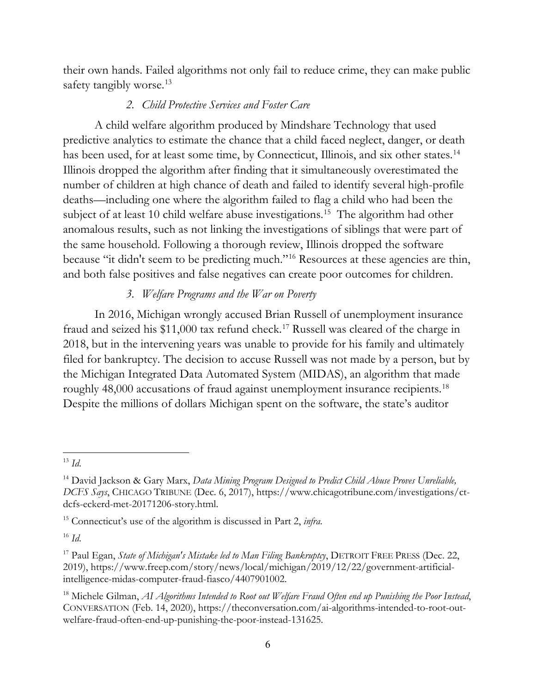their own hands. Failed algorithms not only fail to reduce crime, they can make public safety tangibly worse.<sup>[13](#page-9-0)</sup>

## *2. Child Protective Services and Foster Care*

A child welfare algorithm produced by Mindshare Technology that used predictive analytics to estimate the chance that a child faced neglect, danger, or death has been used, for at least some time, by Connecticut, Illinois, and six other states.<sup>[14](#page-9-1)</sup> Illinois dropped the algorithm after finding that it simultaneously overestimated the number of children at high chance of death and failed to identify several high-profile deaths—including one where the algorithm failed to flag a child who had been the subject of at least 10 child welfare abuse investigations.<sup>[15](#page-9-2)</sup> The algorithm had other anomalous results, such as not linking the investigations of siblings that were part of the same household. Following a thorough review, Illinois dropped the software because "it didn't seem to be predicting much."[16](#page-9-3) Resources at these agencies are thin, and both false positives and false negatives can create poor outcomes for children.

# *3. Welfare Programs and the War on Poverty*

In 2016, Michigan wrongly accused Brian Russell of unemployment insurance fraud and seized his \$11,000 tax refund check. [17](#page-9-4) Russell was cleared of the charge in 2018, but in the intervening years was unable to provide for his family and ultimately filed for bankruptcy. The decision to accuse Russell was not made by a person, but by the Michigan Integrated Data Automated System (MIDAS), an algorithm that made roughly 48,000 accusations of fraud against unemployment insurance recipients.<sup>[18](#page-9-5)</sup> Despite the millions of dollars Michigan spent on the software, the state's auditor

<span id="page-9-0"></span><sup>13</sup> *Id*.

<span id="page-9-1"></span><sup>14</sup> David Jackson & Gary Marx, *Data Mining Program Designed to Predict Child Abuse Proves Unreliable, DCFS Says*, CHICAGO TRIBUNE (Dec. 6, 2017), [https://www.chicagotribune.com/investigations/ct](https://www.chicagotribune.com/investigations/ct-dcfs-eckerd-met-20171206-story.html)[dcfs-eckerd-met-20171206-story.html.](https://www.chicagotribune.com/investigations/ct-dcfs-eckerd-met-20171206-story.html)

<span id="page-9-2"></span><sup>15</sup> Connecticut's use of the algorithm is discussed in Part 2, *infra*.

<span id="page-9-3"></span><sup>16</sup> *Id*.

<span id="page-9-4"></span><sup>17</sup> Paul Egan, *State of Michigan's Mistake led to Man Filing Bankruptcy*, DETROIT FREE PRESS (Dec. 22, 2019), [https://www.freep.com/story/news/local/michigan/2019/12/22/government-artificial](https://www.freep.com/story/news/local/michigan/2019/12/22/government-artificial-intelligence-midas-computer-fraud-fiasco/4407901002)[intelligence-midas-computer-fraud-fiasco/4407901002.](https://www.freep.com/story/news/local/michigan/2019/12/22/government-artificial-intelligence-midas-computer-fraud-fiasco/4407901002)

<span id="page-9-5"></span><sup>18</sup> Michele Gilman, *AI Algorithms Intended to Root out Welfare Fraud Often end up Punishing the Poor Instead*, CONVERSATION (Feb. 14, 2020), [https://theconversation.com/ai-algorithms-intended-to-root-out](https://theconversation.com/ai-algorithms-intended-to-root-out-welfare-fraud-often-end-up-punishing-the-poor-instead-131625)[welfare-fraud-often-end-up-punishing-the-poor-instead-131625.](https://theconversation.com/ai-algorithms-intended-to-root-out-welfare-fraud-often-end-up-punishing-the-poor-instead-131625)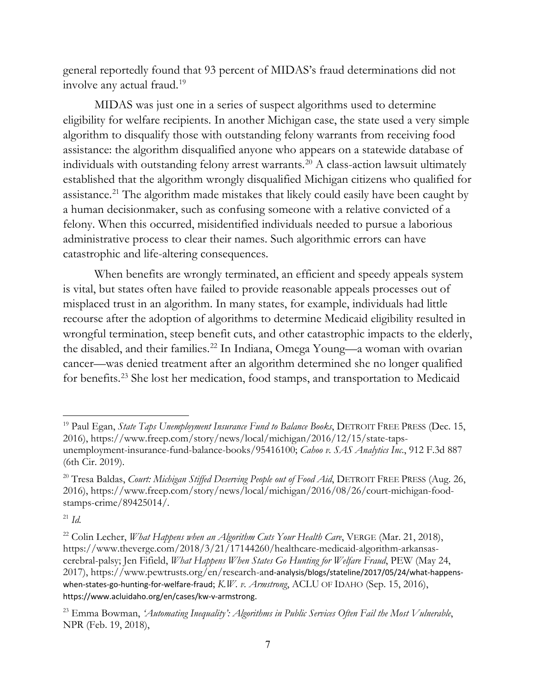general reportedly found that 93 percent of MIDAS's fraud determinations did not involve any actual fraud.[19](#page-10-0)

MIDAS was just one in a series of suspect algorithms used to determine eligibility for welfare recipients. In another Michigan case, the state used a very simple algorithm to disqualify those with outstanding felony warrants from receiving food assistance: the algorithm disqualified anyone who appears on a statewide database of individuals with outstanding felony arrest warrants. [20](#page-10-1) A class-action lawsuit ultimately established that the algorithm wrongly disqualified Michigan citizens who qualified for assistance.<sup>[21](#page-10-2)</sup> The algorithm made mistakes that likely could easily have been caught by a human decisionmaker, such as confusing someone with a relative convicted of a felony. When this occurred, misidentified individuals needed to pursue a laborious administrative process to clear their names. Such algorithmic errors can have catastrophic and life-altering consequences.

When benefits are wrongly terminated, an efficient and speedy appeals system is vital, but states often have failed to provide reasonable appeals processes out of misplaced trust in an algorithm. In many states, for example, individuals had little recourse after the adoption of algorithms to determine Medicaid eligibility resulted in wrongful termination, steep benefit cuts, and other catastrophic impacts to the elderly, the disabled, and their families.<sup>[22](#page-10-3)</sup> In Indiana, Omega Young—a woman with ovarian cancer—was denied treatment after an algorithm determined she no longer qualified for benefits.[23](#page-10-4) She lost her medication, food stamps, and transportation to Medicaid

<span id="page-10-0"></span><sup>&</sup>lt;sup>19</sup> Paul Egan, *State Taps Unemployment Insurance Fund to Balance Books*, DETROIT FREE PRESS (Dec. 15, 2016), [https://www.freep.com/story/news/local/michigan/2016/12/15/state-taps](https://www.freep.com/story/news/local/michigan/2016/12/15/state-taps-unemployment-insurance-fund-balance-books/95416100)[unemployment-insurance-fund-balance-books/95416100;](https://www.freep.com/story/news/local/michigan/2016/12/15/state-taps-unemployment-insurance-fund-balance-books/95416100) *Cahoo v. SAS Analytics Inc*., 912 F.3d 887 (6th Cir. 2019).

<span id="page-10-1"></span><sup>&</sup>lt;sup>20</sup> Tresa Baldas, *Court: Michigan Stiffed Deserving People out of Food Aid*, DETROIT FREE PRESS (Aug. 26, 2016), [https://www.freep.com/story/news/local/michigan/2016/08/26/court-michigan-food](https://www.freep.com/story/news/local/michigan/2016/08/26/court-michigan-food-stamps-crime/89425014/)[stamps-crime/89425014/](https://www.freep.com/story/news/local/michigan/2016/08/26/court-michigan-food-stamps-crime/89425014/)*.*

<span id="page-10-2"></span> $^{21}$  *Id.* 

<span id="page-10-3"></span><sup>22</sup> Colin Lecher, *What Happens when an Algorithm Cuts Your Health Care*, VERGE (Mar. 21, 2018), [https://www.theverge.com/2018/3/21/17144260/healthcare-medicaid-algorithm-arkansas](https://www.theverge.com/2018/3/21/17144260/healthcare-medicaid-algorithm-arkansas-cerebral-palsy)[cerebral-palsy;](https://www.theverge.com/2018/3/21/17144260/healthcare-medicaid-algorithm-arkansas-cerebral-palsy) Jen Fifield, *What Happens When States Go Hunting for Welfare Fraud*, PEW (May 24, 2017), [https://www.pewtrusts.org/en/research-an](https://www.pewtrusts.org/en/research-and-analysis/blogs/stateline/2017/05/24/what-happens-when-states-go-hunting-for-welfare-fraud)d-analysis/blogs/stateline/2017/05/24/what-happen[s](https://www.pewtrusts.org/en/research-and-analysis/blogs/stateline/2017/05/24/what-happens-when-states-go-hunting-for-welfare-fraud)[when-states-go-hunting-for-welfare-fraud](https://www.pewtrusts.org/en/research-and-analysis/blogs/stateline/2017/05/24/what-happens-when-states-go-hunting-for-welfare-fraud); *K.W. v. Armstrong*, ACLU OF IDAHO (Sep. 15, 2016), <https://www.acluidaho.org/en/cases/kw-v-armstrong>.

<span id="page-10-4"></span><sup>23</sup> Emma Bowman, *'Automating Inequality': Algorithms in Public Services Often Fail the Most Vulnerable*, NPR (Feb. 19, 2018),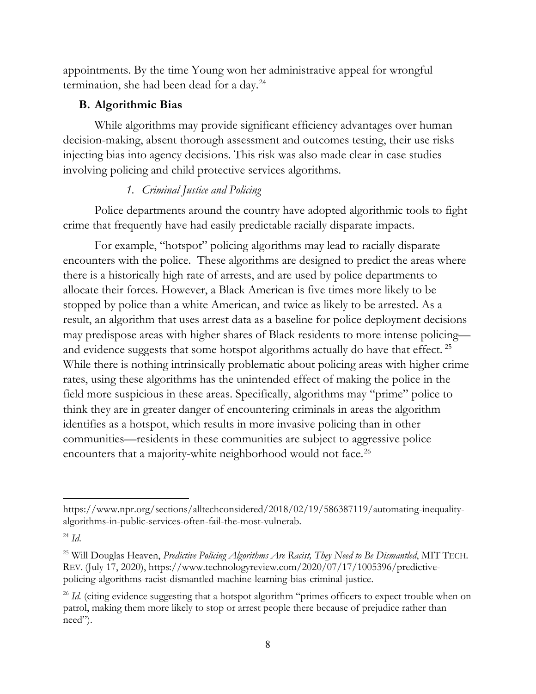appointments. By the time Young won her administrative appeal for wrongful termination, she had been dead for a day.[24](#page-11-0)

## **B. Algorithmic Bias**

While algorithms may provide significant efficiency advantages over human decision-making, absent thorough assessment and outcomes testing, their use risks injecting bias into agency decisions. This risk was also made clear in case studies involving policing and child protective services algorithms.

## *1. Criminal Justice and Policing*

Police departments around the country have adopted algorithmic tools to fight crime that frequently have had easily predictable racially disparate impacts.

For example, "hotspot" policing algorithms may lead to racially disparate encounters with the police. These algorithms are designed to predict the areas where there is a historically high rate of arrests, and are used by police departments to allocate their forces. However, a Black American is five times more likely to be stopped by police than a white American, and twice as likely to be arrested. As a result, an algorithm that uses arrest data as a baseline for police deployment decisions may predispose areas with higher shares of Black residents to more intense policing— and evidence suggests that some hotspot algorithms actually do have that effect.<sup>[25](#page-11-1)</sup> While there is nothing intrinsically problematic about policing areas with higher crime rates, using these algorithms has the unintended effect of making the police in the field more suspicious in these areas. Specifically, algorithms may "prime" police to think they are in greater danger of encountering criminals in areas the algorithm identifies as a hotspot, which results in more invasive policing than in other communities—residents in these communities are subject to aggressive police encounters that a majority-white neighborhood would not face.<sup>[26](#page-11-2)</sup>

[https://www.npr.org/sections/alltechconsidered/2018/02/19/586387119/automating-inequality](https://www.npr.org/sections/alltechconsidered/2018/02/19/586387119/automating-inequality-algorithms-in-public-services-often-fail-the-most-vulnerab)[algorithms-in-public-services-often-fail-the-most-vulnerab.](https://www.npr.org/sections/alltechconsidered/2018/02/19/586387119/automating-inequality-algorithms-in-public-services-often-fail-the-most-vulnerab)

<span id="page-11-0"></span><sup>24</sup> *Id*.

<span id="page-11-1"></span><sup>25</sup> Will Douglas Heaven, *Predictive Policing Algorithms Are Racist, They Need to Be Dismantled*, MIT TECH. REV. (July 17, 2020), [https://www.technologyreview.com/2020/07/17/1005396/predictive](https://www.technologyreview.com/2020/07/17/1005396/predictive-policing-algorithms-racist-dismantled-machine-learning-bias-criminal-justice)[policing-algorithms-racist-dismantled-machine-learning-bias-criminal-justice.](https://www.technologyreview.com/2020/07/17/1005396/predictive-policing-algorithms-racist-dismantled-machine-learning-bias-criminal-justice)

<span id="page-11-2"></span><sup>&</sup>lt;sup>26</sup> *Id.* (citing evidence suggesting that a hotspot algorithm "primes officers to expect trouble when on patrol, making them more likely to stop or arrest people there because of prejudice rather than need").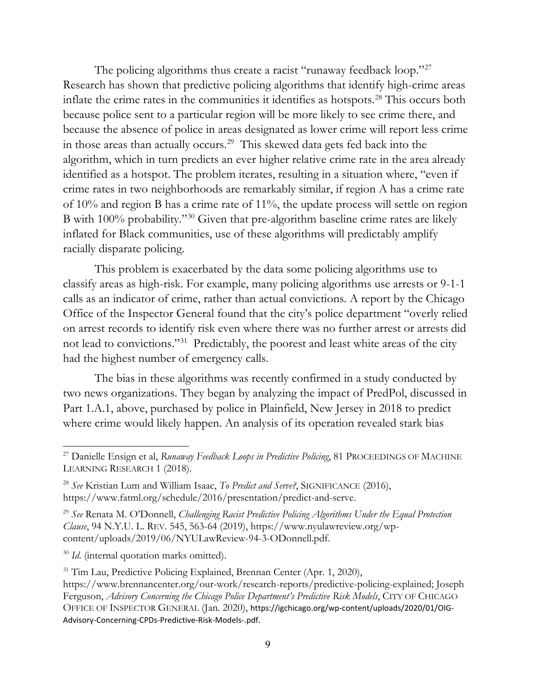The policing algorithms thus create a racist "runaway feedback loop."<sup>[27](#page-12-0)</sup> Research has shown that predictive policing algorithms that identify high-crime areas inflate the crime rates in the communities it identifies as hotspots.[28](#page-12-1) This occurs both because police sent to a particular region will be more likely to see crime there, and because the absence of police in areas designated as lower crime will report less crime in those areas than actually occurs.[29](#page-12-2) This skewed data gets fed back into the algorithm, which in turn predicts an ever higher relative crime rate in the area already identified as a hotspot. The problem iterates, resulting in a situation where, "even if crime rates in two neighborhoods are remarkably similar, if region A has a crime rate of 10% and region B has a crime rate of 11%, the update process will settle on region B with 100% probability."[30](#page-12-3) Given that pre-algorithm baseline crime rates are likely inflated for Black communities, use of these algorithms will predictably amplify racially disparate policing.

This problem is exacerbated by the data some policing algorithms use to classify areas as high-risk. For example, many policing algorithms use arrests or 9-1-1 calls as an indicator of crime, rather than actual convictions. A report by the Chicago Office of the Inspector General found that the city's police department "overly relied on arrest records to identify risk even where there was no further arrest or arrests did not lead to convictions."[31](#page-12-4) Predictably, the poorest and least white areas of the city had the highest number of emergency calls.

The bias in these algorithms was recently confirmed in a study conducted by two news organizations. They began by analyzing the impact of PredPol, discussed in Part 1.A.1, above, purchased by police in Plainfield, New Jersey in 2018 to predict where crime would likely happen. An analysis of its operation revealed stark bias

<span id="page-12-3"></span><sup>30</sup> *Id*. (internal quotation marks omitted).

<span id="page-12-0"></span><sup>&</sup>lt;sup>27</sup> Danielle Ensign et al, *Runaway Feedback Loops in Predictive Policing*, 81 PROCEEDINGS OF MACHINE LEARNING RESEARCH 1 (2018).

<span id="page-12-1"></span><sup>28</sup> *See* Kristian Lum and William Isaac, *To Predict and Serve?*, SIGNIFICANCE (2016), [https://www.fatml.org/schedule/2016/presentation/predict-and-serve.](https://www.fatml.org/schedule/2016/presentation/predict-and-serve)

<span id="page-12-2"></span><sup>29</sup> *See* Renata M. O'Donnell, *Challenging Racist Predictive Policing Algorithms Under the Equal Protection Clause*, 94 N.Y.U. L. REV. 545, 563-64 (2019), [https://www.nyulawreview.org/wp](https://www.nyulawreview.org/wp-content/uploads/2019/06/NYULawReview-94-3-ODonnell.pdf)[content/uploads/2019/06/NYULawReview-94-3-ODonnell.pdf.](https://www.nyulawreview.org/wp-content/uploads/2019/06/NYULawReview-94-3-ODonnell.pdf)

<span id="page-12-4"></span><sup>&</sup>lt;sup>31</sup> Tim Lau, Predictive Policing Explained, Brennan Center (Apr. 1, 2020), [https://www.brennancenter.org/our-work/research-reports/predictive-policing-explained;](https://www.brennancenter.org/our-work/research-reports/predictive-policing-explained) Joseph Ferguson, *Advisory Concerning the Chicago Police Department's Predictive Risk Models*, CITY OF CHICAGO OFFICE OF INSPECTOR GENERAL (Jan. 2020), [https://igchicago.org/wp-content/uploads/2020/01/OIG-](https://igchicago.org/wp-content/uploads/2020/01/OIG-Advisory-Concerning-CPDs-Predictive-Risk-Models-.pdf)[Advisory-Concerning-CPDs-Predictive-Risk-Models-.pdf](https://igchicago.org/wp-content/uploads/2020/01/OIG-Advisory-Concerning-CPDs-Predictive-Risk-Models-.pdf).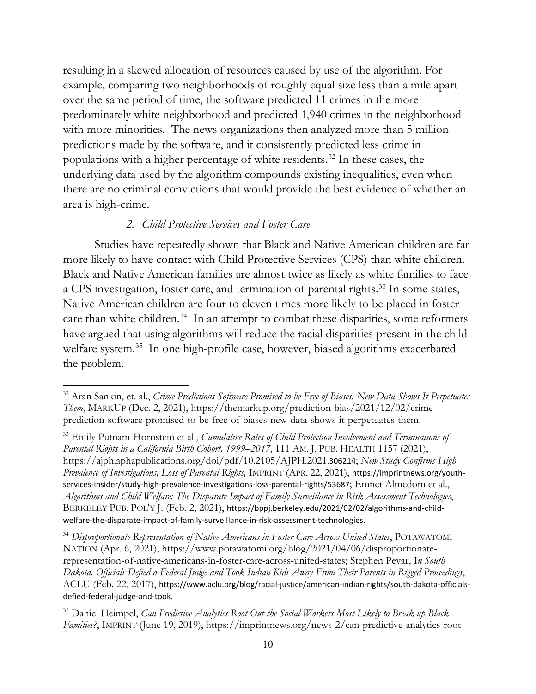resulting in a skewed allocation of resources caused by use of the algorithm. For example, comparing two neighborhoods of roughly equal size less than a mile apart over the same period of time, the software predicted 11 crimes in the more predominately white neighborhood and predicted 1,940 crimes in the neighborhood with more minorities. The news organizations then analyzed more than 5 million predictions made by the software, and it consistently predicted less crime in populations with a higher percentage of white residents.[32](#page-13-0) In these cases, the underlying data used by the algorithm compounds existing inequalities, even when there are no criminal convictions that would provide the best evidence of whether an area is high-crime.

## *2. Child Protective Services and Foster Care*

Studies have repeatedly shown that Black and Native American children are far more likely to have contact with Child Protective Services (CPS) than white children. Black and Native American families are almost twice as likely as white families to face a CPS investigation, foster care, and termination of parental rights.<sup>[33](#page-13-1)</sup> In some states, Native American children are four to eleven times more likely to be placed in foster care than white children.<sup>[34](#page-13-2)</sup> In an attempt to combat these disparities, some reformers have argued that using algorithms will reduce the racial disparities present in the child welfare system.<sup>[35](#page-13-3)</sup> In one high-profile case, however, biased algorithms exacerbated the problem.

<span id="page-13-2"></span><sup>34</sup> *Disproportionate Representation of Native Americans in Foster Care Across United States*, POTAWATOMI NATION (Apr. 6, 2021), [https://www.potawatomi.org/blog/2021/04/06/disproportionate](https://www.potawatomi.org/blog/2021/04/06/disproportionate-representation-of-native-americans-in-foster-care-across-united-states)[representation-of-native-americans-in-foster-care-across-united-states;](https://www.potawatomi.org/blog/2021/04/06/disproportionate-representation-of-native-americans-in-foster-care-across-united-states) Stephen Pevar, I*n South Dakota, Officials Defied a Federal Judge and Took Indian Kids Away From Their Parents in Rigged Proceedings*, ACLU (Feb. 22, 2017), [https://www.aclu.org/blog/racial-justice/american-indian-rights/south-dakota-officials](https://www.aclu.org/blog/racial-justice/american-indian-rights/south-dakota-officials-defied-federal-judge-and-took)[defied-federal-judge-and-took](https://www.aclu.org/blog/racial-justice/american-indian-rights/south-dakota-officials-defied-federal-judge-and-took).

<span id="page-13-3"></span><sup>35</sup> Daniel Heimpel, *Can Predictive Analytics Root Out the Social Workers Most Likely to Break up Black Families?*, IMPRINT (June 19, 2019), [https://imprintnews.org/news-2/can-predictive-analytics-root-](https://imprintnews.org/news-2/can-predictive-analytics-root-out-removal-happy-social-workers/35650)

<span id="page-13-0"></span><sup>32</sup> Aran Sankin, et. al*.*, *Crime Predictions Software Promised to be Free of Biases. New Data Shows It Perpetuates Them*, MARKUP (Dec. 2, 2021), [https://themarkup.org/prediction-bias/2021/12/02/crime](https://themarkup.org/prediction-bias/2021/12/02/crime-prediction-software-promised-to-be-free-of-biases-new-data-shows-it-perpetuates-them)[prediction-software-promised-to-be-free-of-biases-new-data-shows-it-perpetuates-them.](https://themarkup.org/prediction-bias/2021/12/02/crime-prediction-software-promised-to-be-free-of-biases-new-data-shows-it-perpetuates-them)

<span id="page-13-1"></span><sup>33</sup> Emily Putnam-Hornstein et al., *Cumulative Rates of Child Protection Involvement and Terminations of Parental Rights in a California Birth Cohort, 1999–2017*, 111 AM. J. PUB. HEALTH 1157 (2021), [https://ajph.aphapublications.org/doi/pdf/10.2105/AJPH.2021](https://ajph.aphapublications.org/doi/pdf/10.2105/AJPH.2021.306214).306[214](https://ajph.aphapublications.org/doi/pdf/10.2105/AJPH.2021.306214); *New Study Confirms High Prevalence of Investigations, Loss of Parental Rights,* IMPRINT (APR. 22, 2021), [https://imprintnews.org/youth](https://imprintnews.org/youth-services-insider/study-high-prevalence-investigations-loss-parental-rights/53687)[services-insider/study-high-prevalence-investigations-loss-parental-rights/53687](https://imprintnews.org/youth-services-insider/study-high-prevalence-investigations-loss-parental-rights/53687); Emnet Almedom et al., *Algorithms and Child Welfare: The Disparate Impact of Family Surveillance in Risk Assessment Technologies*, BERKELEY PUB. POL'Y J. (Feb. 2, 2021), [https://bppj.berkeley.edu/2021/02/02/algorithms-and-child](https://bppj.berkeley.edu/2021/02/02/algorithms-and-child-welfare-the-disparate-impact-of-family-surveillance-in-risk-assessment-technologies)[welfare-the-disparate-impact-of-family-surveillance-in-risk-assessment-technologies](https://bppj.berkeley.edu/2021/02/02/algorithms-and-child-welfare-the-disparate-impact-of-family-surveillance-in-risk-assessment-technologies).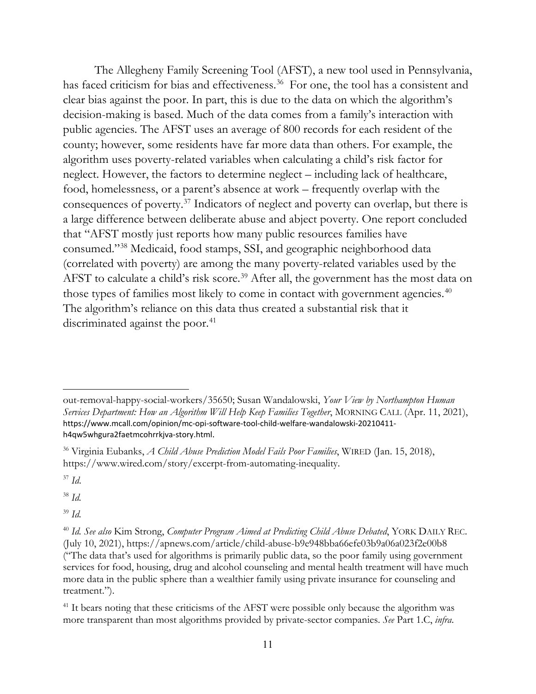The Allegheny Family Screening Tool (AFST), a new tool used in Pennsylvania, has faced criticism for bias and effectiveness.<sup>[36](#page-14-0)</sup> For one, the tool has a consistent and clear bias against the poor. In part, this is due to the data on which the algorithm's decision-making is based. Much of the data comes from a family's interaction with public agencies. The AFST uses an average of 800 records for each resident of the county; however, some residents have far more data than others. For example, the algorithm uses poverty-related variables when calculating a child's risk factor for neglect. However, the factors to determine neglect – including lack of healthcare, food, homelessness, or a parent's absence at work – frequently overlap with the consequences of poverty.[37](#page-14-1) Indicators of neglect and poverty can overlap, but there is a large difference between deliberate abuse and abject poverty. One report concluded that "AFST mostly just reports how many public resources families have consumed."[38](#page-14-2) Medicaid, food stamps, SSI, and geographic neighborhood data (correlated with poverty) are among the many poverty-related variables used by the AFST to calculate a child's risk score.<sup>[39](#page-14-3)</sup> After all, the government has the most data on those types of families most likely to come in contact with government agencies.<sup>[40](#page-14-4)</sup> The algorithm's reliance on this data thus created a substantial risk that it discriminated against the poor.<sup>[41](#page-14-5)</sup>

<span id="page-14-1"></span><sup>37</sup> *Id*.

<span id="page-14-2"></span><sup>38</sup> *Id.*

<span id="page-14-3"></span><sup>39</sup> *Id.*

[out-removal-happy-social-workers/35650;](https://imprintnews.org/news-2/can-predictive-analytics-root-out-removal-happy-social-workers/35650) Susan Wandalowski, *Your View by Northampton Human Services Department: How an Algorithm Will Help Keep Families Together*, MORNING CALL (Apr. 11, 2021), [https://www.mcall.com/opinion/mc-opi-software-tool-child-welfare-wandalowski-20210411](https://www.mcall.com/opinion/mc-opi-software-tool-child-welfare-wandalowski-20210411-h4qw5whgura2faetmcohrrkjva-story.html) [h4qw5whgura2faetmcohrrkjva-story.html](https://www.mcall.com/opinion/mc-opi-software-tool-child-welfare-wandalowski-20210411-h4qw5whgura2faetmcohrrkjva-story.html).

<span id="page-14-0"></span><sup>36</sup> Virginia Eubanks, *A Child Abuse Prediction Model Fails Poor Families*, WIRED (Jan. 15, 2018), [https://www.wired.com/story/excerpt-from-automating-inequality.](https://www.wired.com/story/excerpt-from-automating-inequality)

<span id="page-14-4"></span><sup>40</sup> *Id. See also* Kim Strong, *Computer Program Aimed at Predicting Child Abuse Debated*, YORK DAILY REC. (July 10, 2021),<https://apnews.com/article/child-abuse-b9e948bba66efe03b9a06a023f2e00b8> ("The data that's used for algorithms is primarily public data, so the poor family using government services for food, housing, drug and alcohol counseling and mental health treatment will have much more data in the public sphere than a wealthier family using private insurance for counseling and treatment.").

<span id="page-14-5"></span><sup>&</sup>lt;sup>41</sup> It bears noting that these criticisms of the AFST were possible only because the algorithm was more transparent than most algorithms provided by private-sector companies. *See* Part 1.C, *infra*.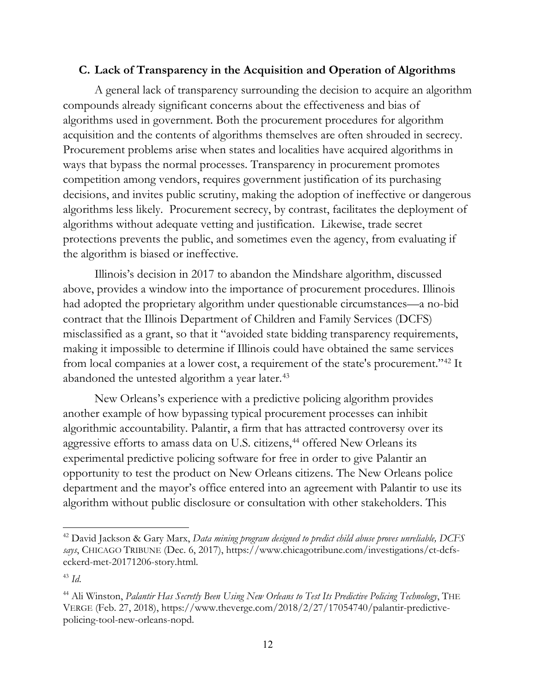## **C. Lack of Transparency in the Acquisition and Operation of Algorithms**

A general lack of transparency surrounding the decision to acquire an algorithm compounds already significant concerns about the effectiveness and bias of algorithms used in government. Both the procurement procedures for algorithm acquisition and the contents of algorithms themselves are often shrouded in secrecy. Procurement problems arise when states and localities have acquired algorithms in ways that bypass the normal processes. Transparency in procurement promotes competition among vendors, requires government justification of its purchasing decisions, and invites public scrutiny, making the adoption of ineffective or dangerous algorithms less likely. Procurement secrecy, by contrast, facilitates the deployment of algorithms without adequate vetting and justification. Likewise, trade secret protections prevents the public, and sometimes even the agency, from evaluating if the algorithm is biased or ineffective.

Illinois's decision in 2017 to abandon the Mindshare algorithm, discussed above, provides a window into the importance of procurement procedures. Illinois had adopted the proprietary algorithm under questionable circumstances—a no-bid contract that the Illinois Department of Children and Family Services (DCFS) misclassified as a grant, so that it "avoided state bidding transparency requirements, making it impossible to determine if Illinois could have obtained the same services from local companies at a lower cost, a requirement of the state's procurement."[42](#page-15-0) It abandoned the untested algorithm a year later.<sup>[43](#page-15-1)</sup>

New Orleans's experience with a predictive policing algorithm provides another example of how bypassing typical procurement processes can inhibit algorithmic accountability. Palantir, a firm that has attracted controversy over its aggressive efforts to amass data on U.S. citizens,<sup>[44](#page-15-2)</sup> offered New Orleans its experimental predictive policing software for free in order to give Palantir an opportunity to test the product on New Orleans citizens. The New Orleans police department and the mayor's office entered into an agreement with Palantir to use its algorithm without public disclosure or consultation with other stakeholders. This

<span id="page-15-0"></span><sup>42</sup> David Jackson & Gary Marx, *Data mining program designed to predict child abuse proves unreliable, DCFS says*, CHICAGO TRIBUNE (Dec. 6, 2017), [https://www.chicagotribune.com/investigations/ct-dcfs](https://www.chicagotribune.com/investigations/ct-dcfs-eckerd-met-20171206-story.html)[eckerd-met-20171206-story.html.](https://www.chicagotribune.com/investigations/ct-dcfs-eckerd-met-20171206-story.html)

<span id="page-15-1"></span><sup>43</sup> *Id*.

<span id="page-15-2"></span><sup>44</sup> Ali Winston, *Palantir Has Secretly Been Using New Orleans to Test Its Predictive Policing Technology*, THE VERGE (Feb. 27, 2018), [https://www.theverge.com/2018/2/27/17054740/palantir-predictive](https://www.theverge.com/2018/2/27/17054740/palantir-predictive-policing-tool-new-orleans-nopd)[policing-tool-new-orleans-nopd.](https://www.theverge.com/2018/2/27/17054740/palantir-predictive-policing-tool-new-orleans-nopd)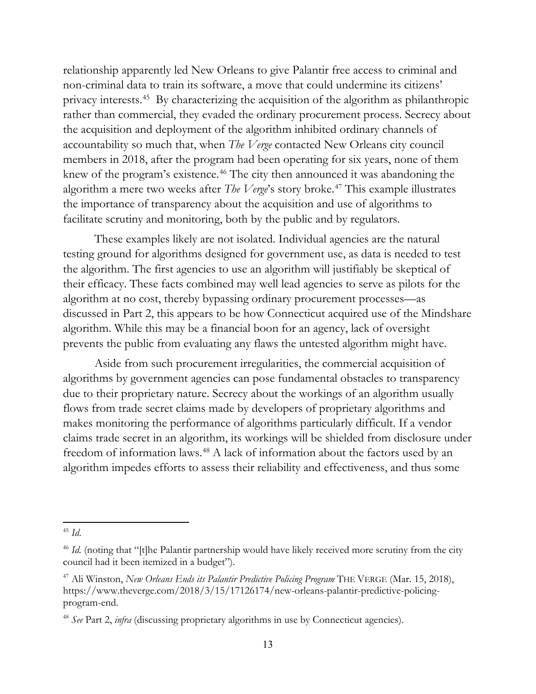relationship apparently led New Orleans to give Palantir free access to criminal and non-criminal data to train its software, a move that could undermine its citizens' privacy interests. [45](#page-16-0) By characterizing the acquisition of the algorithm as philanthropic rather than commercial, they evaded the ordinary procurement process. Secrecy about the acquisition and deployment of the algorithm inhibited ordinary channels of accountability so much that, when *The Verge* contacted New Orleans city council members in 2018, after the program had been operating for six years, none of them knew of the program's existence.<sup>[46](#page-16-1)</sup> The city then announced it was abandoning the algorithm a mere two weeks after *The Verge*'s story broke.[47](#page-16-2) This example illustrates the importance of transparency about the acquisition and use of algorithms to facilitate scrutiny and monitoring, both by the public and by regulators.

These examples likely are not isolated. Individual agencies are the natural testing ground for algorithms designed for government use, as data is needed to test the algorithm. The first agencies to use an algorithm will justifiably be skeptical of their efficacy. These facts combined may well lead agencies to serve as pilots for the algorithm at no cost, thereby bypassing ordinary procurement processes—as discussed in Part 2, this appears to be how Connecticut acquired use of the Mindshare algorithm. While this may be a financial boon for an agency, lack of oversight prevents the public from evaluating any flaws the untested algorithm might have.

Aside from such procurement irregularities, the commercial acquisition of algorithms by government agencies can pose fundamental obstacles to transparency due to their proprietary nature. Secrecy about the workings of an algorithm usually flows from trade secret claims made by developers of proprietary algorithms and makes monitoring the performance of algorithms particularly difficult. If a vendor claims trade secret in an algorithm, its workings will be shielded from disclosure under freedom of information laws.[48](#page-16-3) A lack of information about the factors used by an algorithm impedes efforts to assess their reliability and effectiveness, and thus some

<span id="page-16-0"></span><sup>45</sup> *Id*.

<span id="page-16-1"></span><sup>&</sup>lt;sup>46</sup> *Id.* (noting that "[t]he Palantir partnership would have likely received more scrutiny from the city council had it been itemized in a budget").

<span id="page-16-2"></span><sup>47</sup> Ali Winston, *New Orleans Ends its Palantir Predictive Policing Program* THE VERGE (Mar. 15, 2018), [https://www.theverge.com/2018/3/15/17126174/new-orleans-palantir-predictive-policing](https://www.theverge.com/2018/3/15/17126174/new-orleans-palantir-predictive-policing-program-end)[program-end.](https://www.theverge.com/2018/3/15/17126174/new-orleans-palantir-predictive-policing-program-end)

<span id="page-16-3"></span><sup>48</sup> *See* Part 2, *infra* (discussing proprietary algorithms in use by Connecticut agencies).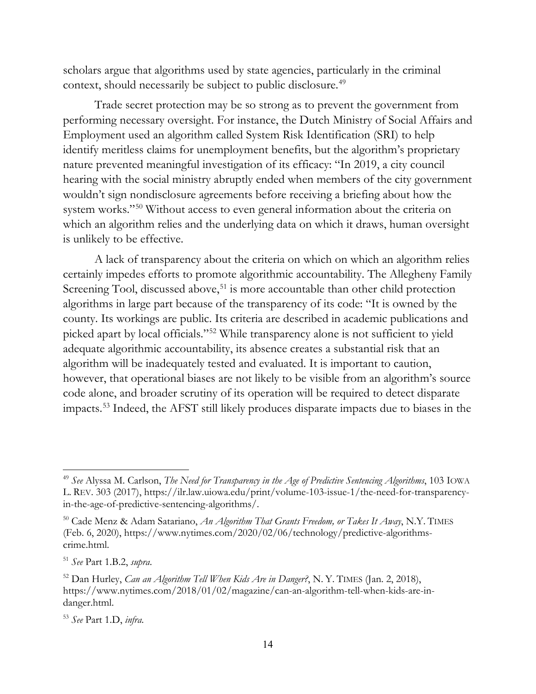scholars argue that algorithms used by state agencies, particularly in the criminal context, should necessarily be subject to public disclosure.<sup>[49](#page-17-0)</sup>

Trade secret protection may be so strong as to prevent the government from performing necessary oversight. For instance, the Dutch Ministry of Social Affairs and Employment used an algorithm called System Risk Identification (SRI) to help identify meritless claims for unemployment benefits, but the algorithm's proprietary nature prevented meaningful investigation of its efficacy: "In 2019, a city council hearing with the social ministry abruptly ended when members of the city government wouldn't sign nondisclosure agreements before receiving a briefing about how the system works."<sup>[50](#page-17-1)</sup> Without access to even general information about the criteria on which an algorithm relies and the underlying data on which it draws, human oversight is unlikely to be effective.

A lack of transparency about the criteria on which on which an algorithm relies certainly impedes efforts to promote algorithmic accountability. The Allegheny Family Screening Tool, discussed above,<sup>[51](#page-17-2)</sup> is more accountable than other child protection algorithms in large part because of the transparency of its code: "It is owned by the county. Its workings are public. Its criteria are described in academic publications and picked apart by local officials."[52](#page-17-3) While transparency alone is not sufficient to yield adequate algorithmic accountability, its absence creates a substantial risk that an algorithm will be inadequately tested and evaluated. It is important to caution, however, that operational biases are not likely to be visible from an algorithm's source code alone, and broader scrutiny of its operation will be required to detect disparate impacts.[53](#page-17-4) Indeed, the AFST still likely produces disparate impacts due to biases in the

<span id="page-17-0"></span><sup>49</sup> *See* Alyssa M. Carlson, *The Need for Transparency in the Age of Predictive Sentencing Algorithms*, 103 IOWA L. REV. 303 (2017), [https://ilr.law.uiowa.edu/print/volume-103-issue-1/the-need-for-transparency](https://ilr.law.uiowa.edu/print/volume-103-issue-1/the-need-for-transparency-in-the-age-of-predictive-sentencing-algorithms/)[in-the-age-of-predictive-sentencing-algorithms/.](https://ilr.law.uiowa.edu/print/volume-103-issue-1/the-need-for-transparency-in-the-age-of-predictive-sentencing-algorithms/)

<span id="page-17-1"></span><sup>50</sup> Cade Menz & Adam Satariano, *An Algorithm That Grants Freedom, or Takes It Away*, N.Y. TIMES (Feb. 6, 2020), [https://www.nytimes.com/2020/02/06/technology/predictive-algorithms](https://www.nytimes.com/2020/02/06/technology/predictive-algorithms-crime.html)[crime.html.](https://www.nytimes.com/2020/02/06/technology/predictive-algorithms-crime.html)

<span id="page-17-2"></span><sup>51</sup> *See* Part 1.B.2, *supra*.

<span id="page-17-3"></span><sup>52</sup> Dan Hurley, *Can an Algorithm Tell When Kids Are in Danger?*, N. Y. TIMES (Jan. 2, 2018), [https://www.nytimes.com/2018/01/02/magazine/can-an-algorithm-tell-when-kids-are-in](https://www.nytimes.com/2018/01/02/magazine/can-an-algorithm-tell-when-kids-are-in-danger.html)[danger.html.](https://www.nytimes.com/2018/01/02/magazine/can-an-algorithm-tell-when-kids-are-in-danger.html)

<span id="page-17-4"></span><sup>53</sup> *See* Part 1.D, *infra*.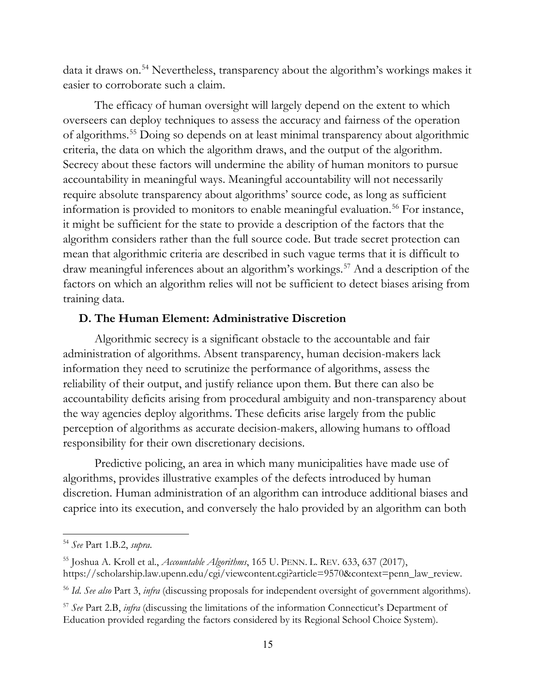data it draws on.[54](#page-18-0) Nevertheless, transparency about the algorithm's workings makes it easier to corroborate such a claim.

The efficacy of human oversight will largely depend on the extent to which overseers can deploy techniques to assess the accuracy and fairness of the operation of algorithms.[55](#page-18-1) Doing so depends on at least minimal transparency about algorithmic criteria, the data on which the algorithm draws, and the output of the algorithm. Secrecy about these factors will undermine the ability of human monitors to pursue accountability in meaningful ways. Meaningful accountability will not necessarily require absolute transparency about algorithms' source code, as long as sufficient information is provided to monitors to enable meaningful evaluation.<sup>[56](#page-18-2)</sup> For instance, it might be sufficient for the state to provide a description of the factors that the algorithm considers rather than the full source code. But trade secret protection can mean that algorithmic criteria are described in such vague terms that it is difficult to draw meaningful inferences about an algorithm's workings.<sup>[57](#page-18-3)</sup> And a description of the factors on which an algorithm relies will not be sufficient to detect biases arising from training data.

## **D. The Human Element: Administrative Discretion**

Algorithmic secrecy is a significant obstacle to the accountable and fair administration of algorithms. Absent transparency, human decision-makers lack information they need to scrutinize the performance of algorithms, assess the reliability of their output, and justify reliance upon them. But there can also be accountability deficits arising from procedural ambiguity and non-transparency about the way agencies deploy algorithms. These deficits arise largely from the public perception of algorithms as accurate decision-makers, allowing humans to offload responsibility for their own discretionary decisions.

Predictive policing, an area in which many municipalities have made use of algorithms, provides illustrative examples of the defects introduced by human discretion. Human administration of an algorithm can introduce additional biases and caprice into its execution, and conversely the halo provided by an algorithm can both

<span id="page-18-0"></span><sup>54</sup> *See* Part 1.B.2, *supra*.

<span id="page-18-1"></span><sup>55</sup> Joshua A. Kroll et al., *Accountable Algorithms*, 165 U. PENN. L. REV. 633, 637 (2017), [https://scholarship.law.upenn.edu/cgi/viewcontent.cgi?article=9570&context=penn\\_law\\_review.](https://scholarship.law.upenn.edu/cgi/viewcontent.cgi?article=9570&context=penn_law_review)

<span id="page-18-2"></span><sup>56</sup> *Id*. *See also* Part 3, *infra* (discussing proposals for independent oversight of government algorithms).

<span id="page-18-3"></span><sup>57</sup> *See* Part 2.B, *infra* (discussing the limitations of the information Connecticut's Department of Education provided regarding the factors considered by its Regional School Choice System).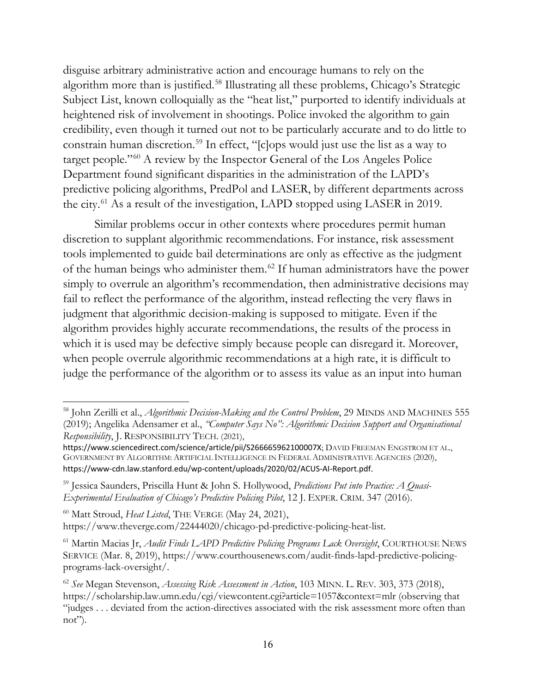disguise arbitrary administrative action and encourage humans to rely on the algorithm more than is justified. [58](#page-19-0) Illustrating all these problems, Chicago's Strategic Subject List, known colloquially as the "heat list," purported to identify individuals at heightened risk of involvement in shootings. Police invoked the algorithm to gain credibility, even though it turned out not to be particularly accurate and to do little to constrain human discretion.[59](#page-19-1) In effect, "[c]ops would just use the list as a way to target people."[60](#page-19-2) A review by the Inspector General of the Los Angeles Police Department found significant disparities in the administration of the LAPD's predictive policing algorithms, PredPol and LASER, by different departments across the city.[61](#page-19-3) As a result of the investigation, LAPD stopped using LASER in 2019.

Similar problems occur in other contexts where procedures permit human discretion to supplant algorithmic recommendations. For instance, risk assessment tools implemented to guide bail determinations are only as effective as the judgment of the human beings who administer them.[62](#page-19-4) If human administrators have the power simply to overrule an algorithm's recommendation, then administrative decisions may fail to reflect the performance of the algorithm, instead reflecting the very flaws in judgment that algorithmic decision-making is supposed to mitigate. Even if the algorithm provides highly accurate recommendations, the results of the process in which it is used may be defective simply because people can disregard it. Moreover, when people overrule algorithmic recommendations at a high rate, it is difficult to judge the performance of the algorithm or to assess its value as an input into human

<span id="page-19-0"></span><sup>58</sup> John Zerilli et al., *Algorithmic Decision-Making and the Control Problem*, 29 MINDS AND MACHINES 555 (2019); Angelika Adensamer et al., *"Computer Says No": Algorithmic Decision Support and Organisational Responsibility*, J. RESPONSIBILITY TECH. (2021),

<https://www.sciencedirect.com/science/article/pii/S266665962100007X>; DAVID FREEMAN ENGSTROM ET AL., GOVERNMENT BY ALGORITHM: ARTIFICIAL INTELLIGENCE IN FEDERAL ADMINISTRATIVE AGENCIES (2020), <https://www-cdn.law.stanford.edu/wp-content/uploads/2020/02/ACUS-AI-Report.pdf>.

<span id="page-19-1"></span><sup>59</sup> Jessica Saunders, Priscilla Hunt & John S. Hollywood, *Predictions Put into Practice: A Quasi-Experimental Evaluation of Chicago's Predictive Policing Pilot*, 12 J. EXPER. CRIM. 347 (2016).

<span id="page-19-2"></span><sup>60</sup> Matt Stroud, *Heat Listed*, THE VERGE (May 24, 2021), [https://www.theverge.com/22444020/chicago-pd-predictive-policing-heat-list.](https://www.theverge.com/22444020/chicago-pd-predictive-policing-heat-list)

<span id="page-19-3"></span><sup>&</sup>lt;sup>61</sup> Martin Macias Jr, *Audit Finds LAPD Predictive Policing Programs Lack Oversight*, COURTHOUSE NEWS SERVICE (Mar. 8, 2019), [https://www.courthousenews.com/audit-finds-lapd-predictive-policing](https://www.courthousenews.com/audit-finds-lapd-predictive-policing-programs-lack-oversight/)[programs-lack-oversight/.](https://www.courthousenews.com/audit-finds-lapd-predictive-policing-programs-lack-oversight/)

<span id="page-19-4"></span><sup>62</sup> *See* Megan Stevenson, *Assessing Risk Assessment in Action*, 103 MINN. L. REV. 303, 373 (2018), [https://scholarship.law.umn.edu/cgi/viewcontent.cgi?article=1057&context=mlr](https://scholarship.law.umn.edu/cgi/viewcontent.cgi?article=1057&context=mlr%20) (observing that "judges . . . deviated from the action-directives associated with the risk assessment more often than not").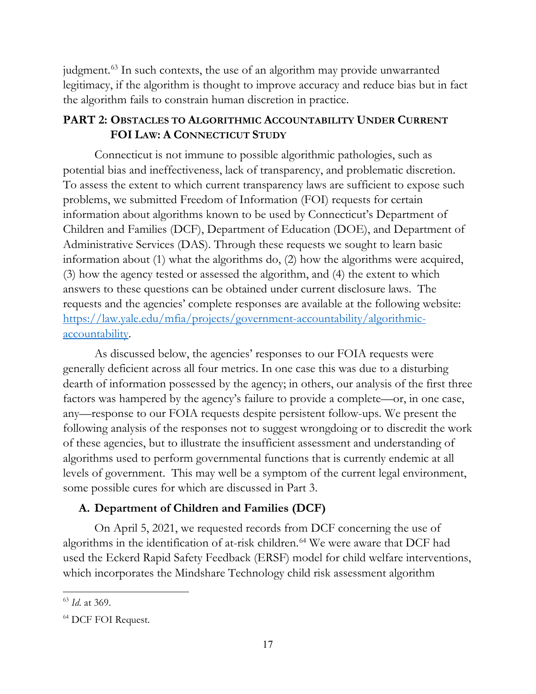judgment.<sup>[63](#page-20-0)</sup> In such contexts, the use of an algorithm may provide unwarranted legitimacy, if the algorithm is thought to improve accuracy and reduce bias but in fact the algorithm fails to constrain human discretion in practice.

# **PART 2: OBSTACLES TO ALGORITHMIC ACCOUNTABILITY UNDER CURRENT FOI LAW: A CONNECTICUT STUDY**

Connecticut is not immune to possible algorithmic pathologies, such as potential bias and ineffectiveness, lack of transparency, and problematic discretion. To assess the extent to which current transparency laws are sufficient to expose such problems, we submitted Freedom of Information (FOI) requests for certain information about algorithms known to be used by Connecticut's Department of Children and Families (DCF), Department of Education (DOE), and Department of Administrative Services (DAS). Through these requests we sought to learn basic information about (1) what the algorithms do, (2) how the algorithms were acquired, (3) how the agency tested or assessed the algorithm, and (4) the extent to which answers to these questions can be obtained under current disclosure laws. The requests and the agencies' complete responses are available at the following website: [https://law.yale.edu/mfia/projects/government-accountability/algorithmic](https://law.yale.edu/mfia/projects/government-accountability/algorithmic-accountability)[accountability.](https://law.yale.edu/mfia/projects/government-accountability/algorithmic-accountability)

As discussed below, the agencies' responses to our FOIA requests were generally deficient across all four metrics. In one case this was due to a disturbing dearth of information possessed by the agency; in others, our analysis of the first three factors was hampered by the agency's failure to provide a complete—or, in one case, any—response to our FOIA requests despite persistent follow-ups. We present the following analysis of the responses not to suggest wrongdoing or to discredit the work of these agencies, but to illustrate the insufficient assessment and understanding of algorithms used to perform governmental functions that is currently endemic at all levels of government. This may well be a symptom of the current legal environment, some possible cures for which are discussed in Part 3.

# **A. Department of Children and Families (DCF)**

On April 5, 2021, we requested records from DCF concerning the use of algorithms in the identification of at-risk children.<sup>[64](#page-20-1)</sup> We were aware that DCF had used the Eckerd Rapid Safety Feedback (ERSF) model for child welfare interventions, which incorporates the Mindshare Technology child risk assessment algorithm

<span id="page-20-0"></span><sup>63</sup> *Id*. at 369.

<span id="page-20-1"></span><sup>64</sup> DCF FOI Request.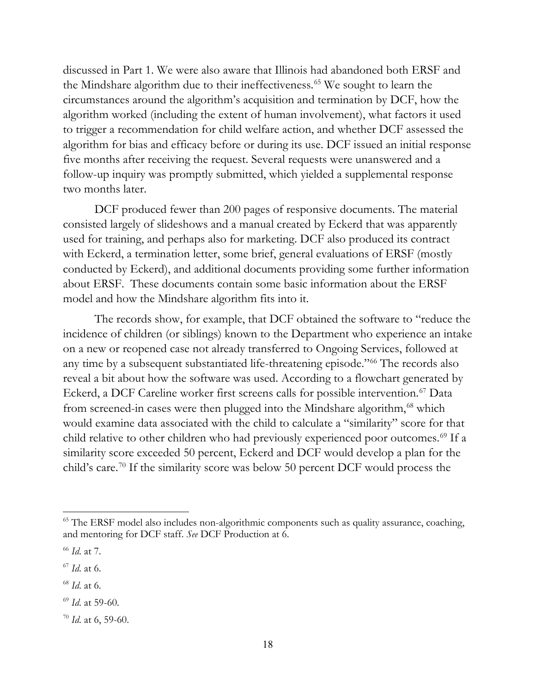discussed in Part 1. We were also aware that Illinois had abandoned both ERSF and the Mindshare algorithm due to their ineffectiveness.<sup>[65](#page-21-0)</sup> We sought to learn the circumstances around the algorithm's acquisition and termination by DCF, how the algorithm worked (including the extent of human involvement), what factors it used to trigger a recommendation for child welfare action, and whether DCF assessed the algorithm for bias and efficacy before or during its use. DCF issued an initial response five months after receiving the request. Several requests were unanswered and a follow-up inquiry was promptly submitted, which yielded a supplemental response two months later.

DCF produced fewer than 200 pages of responsive documents. The material consisted largely of slideshows and a manual created by Eckerd that was apparently used for training, and perhaps also for marketing. DCF also produced its contract with Eckerd, a termination letter, some brief, general evaluations of ERSF (mostly conducted by Eckerd), and additional documents providing some further information about ERSF. These documents contain some basic information about the ERSF model and how the Mindshare algorithm fits into it.

The records show, for example, that DCF obtained the software to "reduce the incidence of children (or siblings) known to the Department who experience an intake on a new or reopened case not already transferred to Ongoing Services, followed at any time by a subsequent substantiated life-threatening episode."[66](#page-21-1) The records also reveal a bit about how the software was used. According to a flowchart generated by Eckerd, a DCF Careline worker first screens calls for possible intervention.<sup>[67](#page-21-2)</sup> Data from screened-in cases were then plugged into the Mindshare algorithm,<sup>[68](#page-21-3)</sup> which would examine data associated with the child to calculate a "similarity" score for that child relative to other children who had previously experienced poor outcomes.<sup>[69](#page-21-4)</sup> If a similarity score exceeded 50 percent, Eckerd and DCF would develop a plan for the child's care.[70](#page-21-5) If the similarity score was below 50 percent DCF would process the

<span id="page-21-3"></span><sup>68</sup> *Id*. at 6.

<span id="page-21-0"></span><sup>&</sup>lt;sup>65</sup> The ERSF model also includes non-algorithmic components such as quality assurance, coaching, and mentoring for DCF staff. *See* DCF Production at 6.

<span id="page-21-1"></span><sup>66</sup> *Id*. at 7.

<span id="page-21-2"></span><sup>67</sup> *Id*. at 6.

<span id="page-21-4"></span><sup>69</sup> *Id*. at 59-60.

<span id="page-21-5"></span><sup>70</sup> *Id*. at 6, 59-60.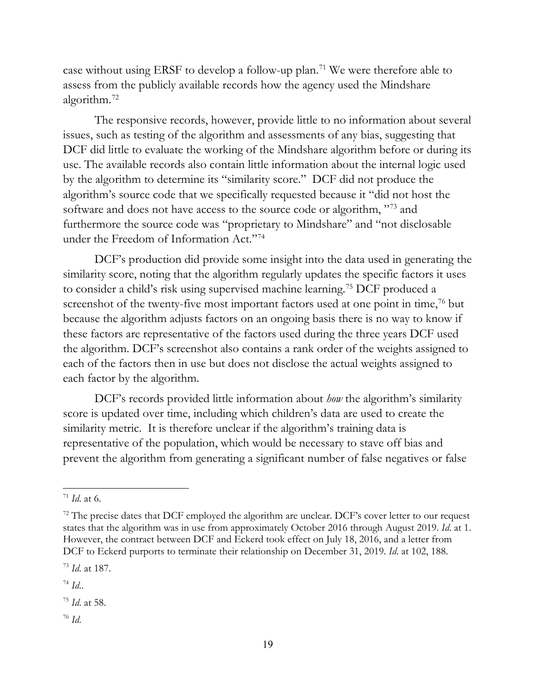case without using ERSF to develop a follow-up plan. [71](#page-22-0) We were therefore able to assess from the publicly available records how the agency used the Mindshare algorithm.[72](#page-22-1)

The responsive records, however, provide little to no information about several issues, such as testing of the algorithm and assessments of any bias, suggesting that DCF did little to evaluate the working of the Mindshare algorithm before or during its use. The available records also contain little information about the internal logic used by the algorithm to determine its "similarity score." DCF did not produce the algorithm's source code that we specifically requested because it "did not host the software and does not have access to the source code or algorithm, "[73](#page-22-2) and furthermore the source code was "proprietary to Mindshare" and "not disclosable under the Freedom of Information Act."[74](#page-22-3)

DCF's production did provide some insight into the data used in generating the similarity score, noting that the algorithm regularly updates the specific factors it uses to consider a child's risk using supervised machine learning.[75](#page-22-4) DCF produced a screenshot of the twenty-five most important factors used at one point in time,<sup>[76](#page-22-5)</sup> but because the algorithm adjusts factors on an ongoing basis there is no way to know if these factors are representative of the factors used during the three years DCF used the algorithm. DCF's screenshot also contains a rank order of the weights assigned to each of the factors then in use but does not disclose the actual weights assigned to each factor by the algorithm.

DCF's records provided little information about *how* the algorithm's similarity score is updated over time, including which children's data are used to create the similarity metric. It is therefore unclear if the algorithm's training data is representative of the population, which would be necessary to stave off bias and prevent the algorithm from generating a significant number of false negatives or false

<span id="page-22-0"></span> $71$  *Id.* at 6.

<span id="page-22-1"></span> $72$  The precise dates that DCF employed the algorithm are unclear. DCF's cover letter to our request states that the algorithm was in use from approximately October 2016 through August 2019. *Id*. at 1. However, the contract between DCF and Eckerd took effect on July 18, 2016, and a letter from DCF to Eckerd purports to terminate their relationship on December 31, 2019. *Id*. at 102, 188.

<span id="page-22-2"></span><sup>73</sup> *Id*. at 187.

<span id="page-22-3"></span><sup>74</sup> *Id*..

<span id="page-22-4"></span><sup>75</sup> *Id*. at 58.

<span id="page-22-5"></span><sup>76</sup> *Id*.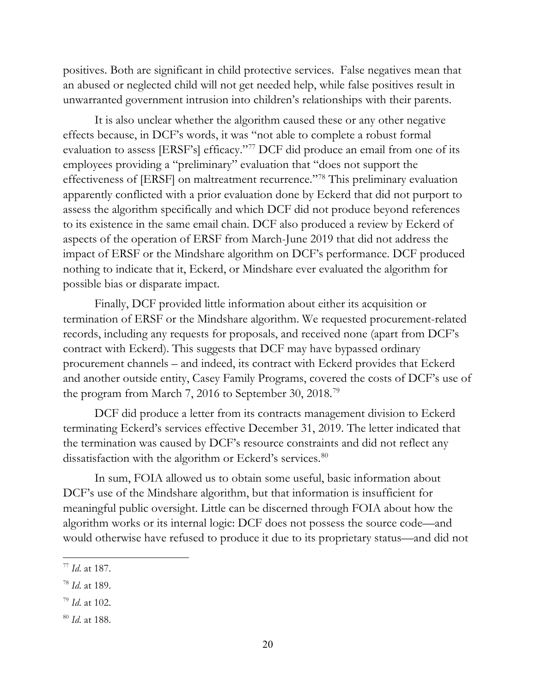positives. Both are significant in child protective services. False negatives mean that an abused or neglected child will not get needed help, while false positives result in unwarranted government intrusion into children's relationships with their parents.

It is also unclear whether the algorithm caused these or any other negative effects because, in DCF's words, it was "not able to complete a robust formal evaluation to assess [ERSF's] efficacy."<sup>[77](#page-23-0)</sup> DCF did produce an email from one of its employees providing a "preliminary" evaluation that "does not support the effectiveness of [ERSF] on maltreatment recurrence."[78](#page-23-1) This preliminary evaluation apparently conflicted with a prior evaluation done by Eckerd that did not purport to assess the algorithm specifically and which DCF did not produce beyond references to its existence in the same email chain. DCF also produced a review by Eckerd of aspects of the operation of ERSF from March-June 2019 that did not address the impact of ERSF or the Mindshare algorithm on DCF's performance. DCF produced nothing to indicate that it, Eckerd, or Mindshare ever evaluated the algorithm for possible bias or disparate impact.

Finally, DCF provided little information about either its acquisition or termination of ERSF or the Mindshare algorithm. We requested procurement-related records, including any requests for proposals, and received none (apart from DCF's contract with Eckerd). This suggests that DCF may have bypassed ordinary procurement channels – and indeed, its contract with Eckerd provides that Eckerd and another outside entity, Casey Family Programs, covered the costs of DCF's use of the program from March 7, 2016 to September 30, 2018.[79](#page-23-2)

DCF did produce a letter from its contracts management division to Eckerd terminating Eckerd's services effective December 31, 2019. The letter indicated that the termination was caused by DCF's resource constraints and did not reflect any dissatisfaction with the algorithm or Eckerd's services.<sup>[80](#page-23-3)</sup>

In sum, FOIA allowed us to obtain some useful, basic information about DCF's use of the Mindshare algorithm, but that information is insufficient for meaningful public oversight. Little can be discerned through FOIA about how the algorithm works or its internal logic: DCF does not possess the source code—and would otherwise have refused to produce it due to its proprietary status—and did not

<span id="page-23-0"></span><sup>77</sup> *Id*. at 187.

<span id="page-23-1"></span><sup>78</sup> *Id*. at 189.

<span id="page-23-2"></span><sup>79</sup> *Id*. at 102.

<span id="page-23-3"></span><sup>80</sup> *Id*. at 188.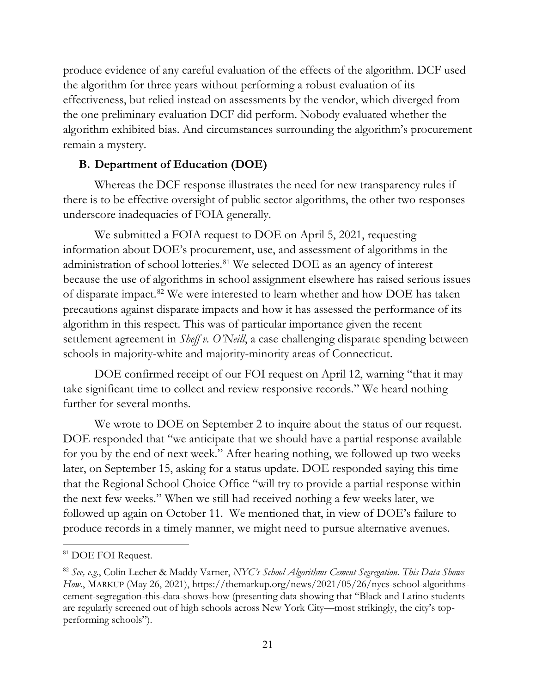produce evidence of any careful evaluation of the effects of the algorithm. DCF used the algorithm for three years without performing a robust evaluation of its effectiveness, but relied instead on assessments by the vendor, which diverged from the one preliminary evaluation DCF did perform. Nobody evaluated whether the algorithm exhibited bias. And circumstances surrounding the algorithm's procurement remain a mystery.

# **B. Department of Education (DOE)**

Whereas the DCF response illustrates the need for new transparency rules if there is to be effective oversight of public sector algorithms, the other two responses underscore inadequacies of FOIA generally.

We submitted a FOIA request to DOE on April 5, 2021, requesting information about DOE's procurement, use, and assessment of algorithms in the administration of school lotteries.<sup>[81](#page-24-0)</sup> We selected DOE as an agency of interest because the use of algorithms in school assignment elsewhere has raised serious issues of disparate impact.[82](#page-24-1) We were interested to learn whether and how DOE has taken precautions against disparate impacts and how it has assessed the performance of its algorithm in this respect. This was of particular importance given the recent settlement agreement in *Sheff v. O'Neill*, a case challenging disparate spending between schools in majority-white and majority-minority areas of Connecticut.

DOE confirmed receipt of our FOI request on April 12, warning "that it may take significant time to collect and review responsive records." We heard nothing further for several months.

We wrote to DOE on September 2 to inquire about the status of our request. DOE responded that "we anticipate that we should have a partial response available for you by the end of next week." After hearing nothing, we followed up two weeks later, on September 15, asking for a status update. DOE responded saying this time that the Regional School Choice Office "will try to provide a partial response within the next few weeks." When we still had received nothing a few weeks later, we followed up again on October 11. We mentioned that, in view of DOE's failure to produce records in a timely manner, we might need to pursue alternative avenues.

<span id="page-24-0"></span><sup>81</sup> DOE FOI Request.

<span id="page-24-1"></span><sup>82</sup> *See, e.g.*, Colin Lecher & Maddy Varner, *NYC's School Algorithms Cement Segregation. This Data Shows How.*, MARKUP (May 26, 2021), [https://themarkup.org/news/2021/05/26/nycs-school-algorithms](https://themarkup.org/news/2021/05/26/nycs-school-algorithms-cement-segregation-this-data-shows-how)[cement-segregation-this-data-shows-how](https://themarkup.org/news/2021/05/26/nycs-school-algorithms-cement-segregation-this-data-shows-how) (presenting data showing that "Black and Latino students are regularly screened out of high schools across New York City—most strikingly, the city's topperforming schools").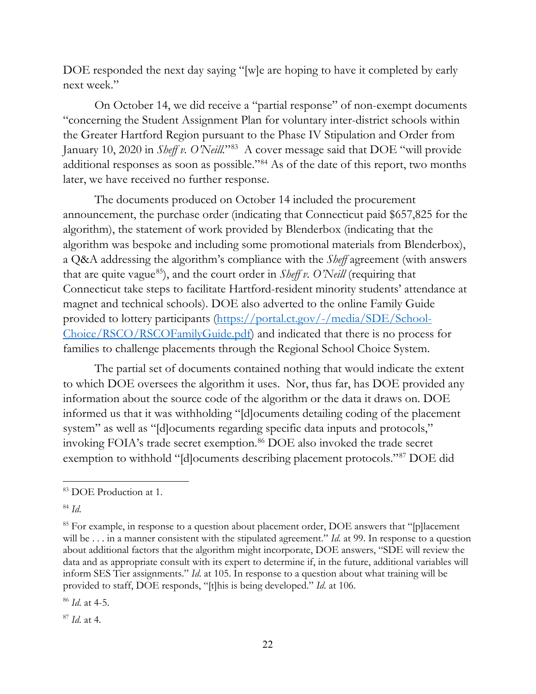DOE responded the next day saying "[w]e are hoping to have it completed by early next week."

On October 14, we did receive a "partial response" of non-exempt documents "concerning the Student Assignment Plan for voluntary inter-district schools within the Greater Hartford Region pursuant to the Phase IV Stipulation and Order from January 10, 2020 in *Sheff v. O'Neill.*"[83](#page-25-0) A cover message said that DOE "will provide additional responses as soon as possible."[84](#page-25-1) As of the date of this report, two months later, we have received no further response.

The documents produced on October 14 included the procurement announcement, the purchase order (indicating that Connecticut paid \$657,825 for the algorithm), the statement of work provided by Blenderbox (indicating that the algorithm was bespoke and including some promotional materials from Blenderbox), a Q&A addressing the algorithm's compliance with the *Sheff* agreement (with answers that are quite vague<sup>[85](#page-25-2)</sup>), and the court order in *Sheff v. O'Neill* (requiring that Connecticut take steps to facilitate Hartford-resident minority students' attendance at magnet and technical schools). DOE also adverted to the online Family Guide provided to lottery participants [\(https://portal.ct.gov/-/media/SDE/School-](https://portal.ct.gov/-/media/SDE/School-Choice/RSCO/RSCOFamilyGuide.pdf)[Choice/RSCO/RSCOFamilyGuide.pdf\)](https://portal.ct.gov/-/media/SDE/School-Choice/RSCO/RSCOFamilyGuide.pdf) and indicated that there is no process for families to challenge placements through the Regional School Choice System.

The partial set of documents contained nothing that would indicate the extent to which DOE oversees the algorithm it uses. Nor, thus far, has DOE provided any information about the source code of the algorithm or the data it draws on. DOE informed us that it was withholding "[d]ocuments detailing coding of the placement system" as well as "[d]ocuments regarding specific data inputs and protocols," invoking FOIA's trade secret exemption.<sup>[86](#page-25-3)</sup> DOE also invoked the trade secret exemption to withhold "[d]ocuments describing placement protocols."[87](#page-25-4) DOE did

<span id="page-25-3"></span><sup>86</sup> *Id*. at 4-5.

<span id="page-25-4"></span><sup>87</sup> *Id*. at 4.

<span id="page-25-0"></span><sup>83</sup> DOE Production at 1.

<span id="page-25-1"></span><sup>84</sup> *Id*.

<span id="page-25-2"></span> $85$  For example, in response to a question about placement order, DOE answers that "[p] lacement will be . . . in a manner consistent with the stipulated agreement." *Id.* at 99. In response to a question about additional factors that the algorithm might incorporate, DOE answers, "SDE will review the data and as appropriate consult with its expert to determine if, in the future, additional variables will inform SES Tier assignments." *Id*. at 105. In response to a question about what training will be provided to staff, DOE responds, "[t]his is being developed." *Id*. at 106.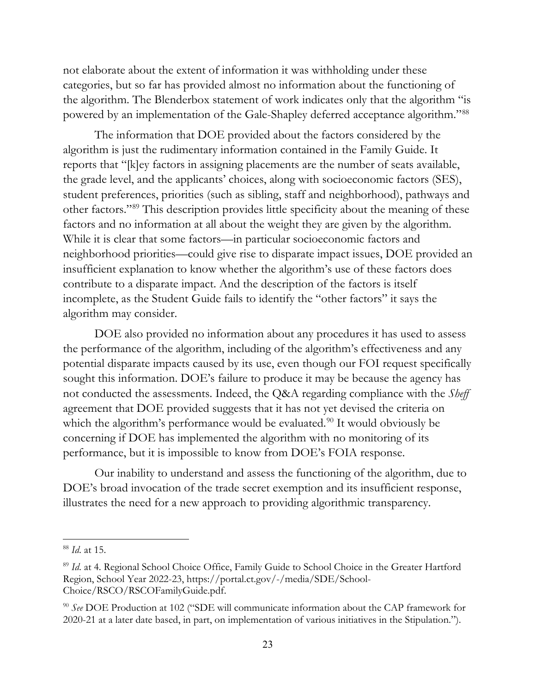not elaborate about the extent of information it was withholding under these categories, but so far has provided almost no information about the functioning of the algorithm. The Blenderbox statement of work indicates only that the algorithm "is powered by an implementation of the Gale-Shapley deferred acceptance algorithm."[88](#page-26-0)

The information that DOE provided about the factors considered by the algorithm is just the rudimentary information contained in the Family Guide. It reports that "[k]ey factors in assigning placements are the number of seats available, the grade level, and the applicants' choices, along with socioeconomic factors (SES), student preferences, priorities (such as sibling, staff and neighborhood), pathways and other factors."[89](#page-26-1) This description provides little specificity about the meaning of these factors and no information at all about the weight they are given by the algorithm. While it is clear that some factors—in particular socioeconomic factors and neighborhood priorities—could give rise to disparate impact issues, DOE provided an insufficient explanation to know whether the algorithm's use of these factors does contribute to a disparate impact. And the description of the factors is itself incomplete, as the Student Guide fails to identify the "other factors" it says the algorithm may consider.

DOE also provided no information about any procedures it has used to assess the performance of the algorithm, including of the algorithm's effectiveness and any potential disparate impacts caused by its use, even though our FOI request specifically sought this information. DOE's failure to produce it may be because the agency has not conducted the assessments. Indeed, the Q&A regarding compliance with the *Sheff* agreement that DOE provided suggests that it has not yet devised the criteria on which the algorithm's performance would be evaluated.<sup>[90](#page-26-2)</sup> It would obviously be concerning if DOE has implemented the algorithm with no monitoring of its performance, but it is impossible to know from DOE's FOIA response.

Our inability to understand and assess the functioning of the algorithm, due to DOE's broad invocation of the trade secret exemption and its insufficient response, illustrates the need for a new approach to providing algorithmic transparency.

<span id="page-26-0"></span><sup>88</sup> *Id*. at 15.

<span id="page-26-1"></span><sup>&</sup>lt;sup>89</sup> Id. at 4. Regional School Choice Office, Family Guide to School Choice in the Greater Hartford Region, School Year 2022-23, [https://portal.ct.gov/-/media/SDE/School-](https://portal.ct.gov/-/media/SDE/School-Choice/RSCO/RSCOFamilyGuide.pdf)[Choice/RSCO/RSCOFamilyGuide.pdf.](https://portal.ct.gov/-/media/SDE/School-Choice/RSCO/RSCOFamilyGuide.pdf)

<span id="page-26-2"></span><sup>90</sup> *See* DOE Production at 102 ("SDE will communicate information about the CAP framework for 2020-21 at a later date based, in part, on implementation of various initiatives in the Stipulation.").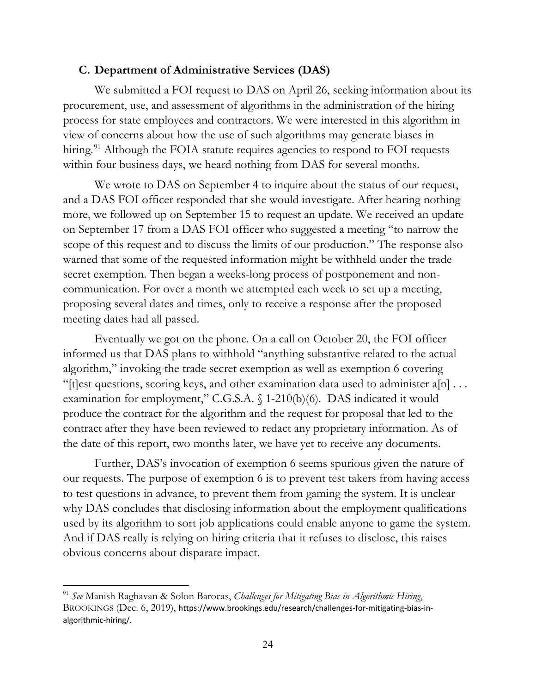## **C. Department of Administrative Services (DAS)**

We submitted a FOI request to DAS on April 26, seeking information about its procurement, use, and assessment of algorithms in the administration of the hiring process for state employees and contractors. We were interested in this algorithm in view of concerns about how the use of such algorithms may generate biases in hiring.<sup>[91](#page-27-0)</sup> Although the FOIA statute requires agencies to respond to FOI requests within four business days, we heard nothing from DAS for several months.

We wrote to DAS on September 4 to inquire about the status of our request, and a DAS FOI officer responded that she would investigate. After hearing nothing more, we followed up on September 15 to request an update. We received an update on September 17 from a DAS FOI officer who suggested a meeting "to narrow the scope of this request and to discuss the limits of our production." The response also warned that some of the requested information might be withheld under the trade secret exemption. Then began a weeks-long process of postponement and noncommunication. For over a month we attempted each week to set up a meeting, proposing several dates and times, only to receive a response after the proposed meeting dates had all passed.

Eventually we got on the phone. On a call on October 20, the FOI officer informed us that DAS plans to withhold "anything substantive related to the actual algorithm," invoking the trade secret exemption as well as exemption 6 covering "[t]est questions, scoring keys, and other examination data used to administer  $a[n]$ ... examination for employment," C.G.S.A. § 1-210(b)(6). DAS indicated it would produce the contract for the algorithm and the request for proposal that led to the contract after they have been reviewed to redact any proprietary information. As of the date of this report, two months later, we have yet to receive any documents.

Further, DAS's invocation of exemption 6 seems spurious given the nature of our requests. The purpose of exemption 6 is to prevent test takers from having access to test questions in advance, to prevent them from gaming the system. It is unclear why DAS concludes that disclosing information about the employment qualifications used by its algorithm to sort job applications could enable anyone to game the system. And if DAS really is relying on hiring criteria that it refuses to disclose, this raises obvious concerns about disparate impact.

<span id="page-27-0"></span><sup>91</sup> *See* Manish Raghavan & Solon Barocas, *Challenges for Mitigating Bias in Algorithmic Hiring*, BROOKINGS (Dec. 6, 2019), [https://www.brookings.edu/research/challenges-for-mitigating-bias-in](https://www.brookings.edu/research/challenges-for-mitigating-bias-in-algorithmic-hiring/)[algorithmic-hiring/](https://www.brookings.edu/research/challenges-for-mitigating-bias-in-algorithmic-hiring/).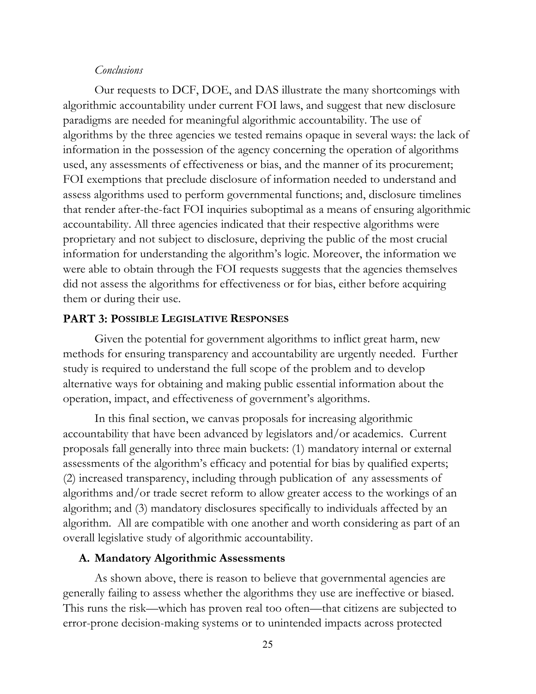#### *Conclusions*

Our requests to DCF, DOE, and DAS illustrate the many shortcomings with algorithmic accountability under current FOI laws, and suggest that new disclosure paradigms are needed for meaningful algorithmic accountability. The use of algorithms by the three agencies we tested remains opaque in several ways: the lack of information in the possession of the agency concerning the operation of algorithms used, any assessments of effectiveness or bias, and the manner of its procurement; FOI exemptions that preclude disclosure of information needed to understand and assess algorithms used to perform governmental functions; and, disclosure timelines that render after-the-fact FOI inquiries suboptimal as a means of ensuring algorithmic accountability. All three agencies indicated that their respective algorithms were proprietary and not subject to disclosure, depriving the public of the most crucial information for understanding the algorithm's logic. Moreover, the information we were able to obtain through the FOI requests suggests that the agencies themselves did not assess the algorithms for effectiveness or for bias, either before acquiring them or during their use.

#### **PART 3: POSSIBLE LEGISLATIVE RESPONSES**

Given the potential for government algorithms to inflict great harm, new methods for ensuring transparency and accountability are urgently needed. Further study is required to understand the full scope of the problem and to develop alternative ways for obtaining and making public essential information about the operation, impact, and effectiveness of government's algorithms.

In this final section, we canvas proposals for increasing algorithmic accountability that have been advanced by legislators and/or academics. Current proposals fall generally into three main buckets: (1) mandatory internal or external assessments of the algorithm's efficacy and potential for bias by qualified experts; (2) increased transparency, including through publication of any assessments of algorithms and/or trade secret reform to allow greater access to the workings of an algorithm; and (3) mandatory disclosures specifically to individuals affected by an algorithm. All are compatible with one another and worth considering as part of an overall legislative study of algorithmic accountability.

#### **A. Mandatory Algorithmic Assessments**

As shown above, there is reason to believe that governmental agencies are generally failing to assess whether the algorithms they use are ineffective or biased. This runs the risk—which has proven real too often—that citizens are subjected to error-prone decision-making systems or to unintended impacts across protected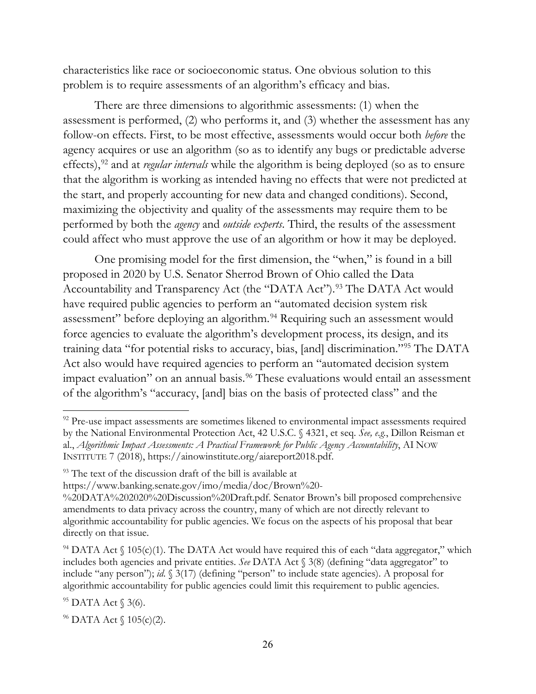characteristics like race or socioeconomic status. One obvious solution to this problem is to require assessments of an algorithm's efficacy and bias.

There are three dimensions to algorithmic assessments: (1) when the assessment is performed, (2) who performs it, and (3) whether the assessment has any follow-on effects. First, to be most effective, assessments would occur both *before* the agency acquires or use an algorithm (so as to identify any bugs or predictable adverse effects),<sup>[92](#page-29-0)</sup> and at *regular intervals* while the algorithm is being deployed (so as to ensure that the algorithm is working as intended having no effects that were not predicted at the start, and properly accounting for new data and changed conditions). Second, maximizing the objectivity and quality of the assessments may require them to be performed by both the *agency* and *outside experts*. Third, the results of the assessment could affect who must approve the use of an algorithm or how it may be deployed.

One promising model for the first dimension, the "when," is found in a bill proposed in 2020 by U.S. Senator Sherrod Brown of Ohio called the Data Accountability and Transparency Act (the "DATA Act").<sup>[93](#page-29-1)</sup> The DATA Act would have required public agencies to perform an "automated decision system risk assessment" before deploying an algorithm.<sup>[94](#page-29-2)</sup> Requiring such an assessment would force agencies to evaluate the algorithm's development process, its design, and its training data "for potential risks to accuracy, bias, [and] discrimination."[95](#page-29-3) The DATA Act also would have required agencies to perform an "automated decision system impact evaluation" on an annual basis.<sup>[96](#page-29-4)</sup> These evaluations would entail an assessment of the algorithm's "accuracy, [and] bias on the basis of protected class" and the

<span id="page-29-0"></span><sup>&</sup>lt;sup>92</sup> Pre-use impact assessments are sometimes likened to environmental impact assessments required by the National Environmental Protection Act, 42 U.S.C. § 4321, et seq. *See, e.g.*, Dillon Reisman et al., *Algorithmic Impact Assessments: A Practical Framework for Public Agency Accountability*, AI NOW INSTITUTE 7 (2018), [https://ainowinstitute.org/aiareport2018.pdf.](https://ainowinstitute.org/aiareport2018.pdf)

<span id="page-29-1"></span><sup>&</sup>lt;sup>93</sup> The text of the discussion draft of the bill is available at

[https://www.banking.senate.gov/imo/media/doc/Brown%20-](https://www.banking.senate.gov/imo/media/doc/Brown%20-%20DATA%202020%20Discussion%20Draft.pdf)

[<sup>%20</sup>DATA%202020%20Discussion%20Draft.pdf.](https://www.banking.senate.gov/imo/media/doc/Brown%20-%20DATA%202020%20Discussion%20Draft.pdf) Senator Brown's bill proposed comprehensive amendments to data privacy across the country, many of which are not directly relevant to algorithmic accountability for public agencies. We focus on the aspects of his proposal that bear directly on that issue.

<span id="page-29-2"></span> $94$  DATA Act  $\{(105)(c)(1)$ . The DATA Act would have required this of each "data aggregator," which includes both agencies and private entities. *See* DATA Act § 3(8) (defining "data aggregator" to include "any person"); *id*. § 3(17) (defining "person" to include state agencies). A proposal for algorithmic accountability for public agencies could limit this requirement to public agencies.

<span id="page-29-3"></span><sup>95</sup> DATA Act § 3(6).

<span id="page-29-4"></span> $96$  DATA Act  $\{(105)(c)(2)\}.$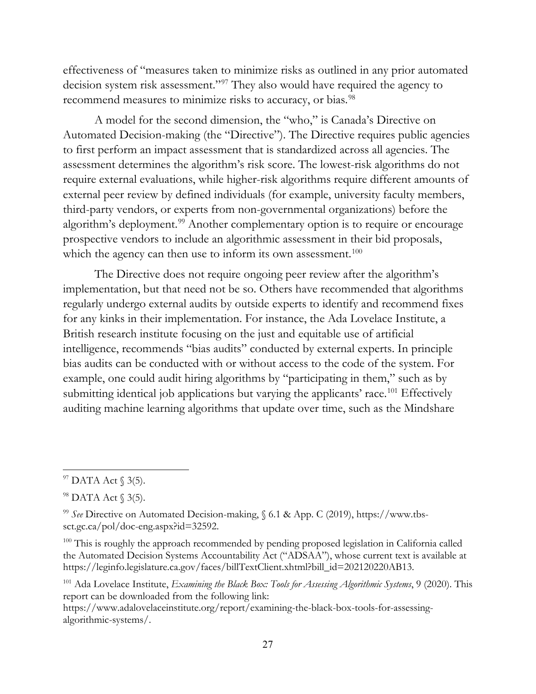effectiveness of "measures taken to minimize risks as outlined in any prior automated decision system risk assessment."[97](#page-30-0) They also would have required the agency to recommend measures to minimize risks to accuracy, or bias.<sup>[98](#page-30-1)</sup>

A model for the second dimension, the "who," is Canada's Directive on Automated Decision-making (the "Directive"). The Directive requires public agencies to first perform an impact assessment that is standardized across all agencies. The assessment determines the algorithm's risk score. The lowest-risk algorithms do not require external evaluations, while higher-risk algorithms require different amounts of external peer review by defined individuals (for example, university faculty members, third-party vendors, or experts from non-governmental organizations) before the algorithm's deployment.<sup>[99](#page-30-2)</sup> Another complementary option is to require or encourage prospective vendors to include an algorithmic assessment in their bid proposals, which the agency can then use to inform its own assessment.<sup>[100](#page-30-3)</sup>

The Directive does not require ongoing peer review after the algorithm's implementation, but that need not be so. Others have recommended that algorithms regularly undergo external audits by outside experts to identify and recommend fixes for any kinks in their implementation. For instance, the Ada Lovelace Institute, a British research institute focusing on the just and equitable use of artificial intelligence, recommends "bias audits" conducted by external experts. In principle bias audits can be conducted with or without access to the code of the system. For example, one could audit hiring algorithms by "participating in them," such as by submitting identical job applications but varying the applicants' race.<sup>[101](#page-30-4)</sup> Effectively auditing machine learning algorithms that update over time, such as the Mindshare

<span id="page-30-0"></span> $97$  DATA Act  $\S$  3(5).

<span id="page-30-1"></span><sup>98</sup> DATA Act § 3(5).

<span id="page-30-2"></span><sup>99</sup> *See* Directive on Automated Decision-making, § 6.1 & App. C (2019), [https://www.tbs](https://www.tbs-sct.gc.ca/pol/doc-eng.aspx?id=32592)[sct.gc.ca/pol/doc-eng.aspx?id=32592.](https://www.tbs-sct.gc.ca/pol/doc-eng.aspx?id=32592)

<span id="page-30-3"></span><sup>&</sup>lt;sup>100</sup> This is roughly the approach recommended by pending proposed legislation in California called the Automated Decision Systems Accountability Act ("ADSAA"), whose current text is available at [https://leginfo.legislature.ca.gov/faces/billTextClient.xhtml?bill\\_id=202120220AB13.](https://leginfo.legislature.ca.gov/faces/billTextClient.xhtml?bill_id=202120220AB13)

<span id="page-30-4"></span><sup>101</sup> Ada Lovelace Institute, *Examining the Black Box: Tools for Assessing Algorithmic Systems*, 9 (2020). This report can be downloaded from the following link:

[https://www.adalovelaceinstitute.org/report/examining-the-black-box-tools-for-assessing](https://www.adalovelaceinstitute.org/report/examining-the-black-box-tools-for-assessing-algorithmic-systems/)[algorithmic-systems/.](https://www.adalovelaceinstitute.org/report/examining-the-black-box-tools-for-assessing-algorithmic-systems/)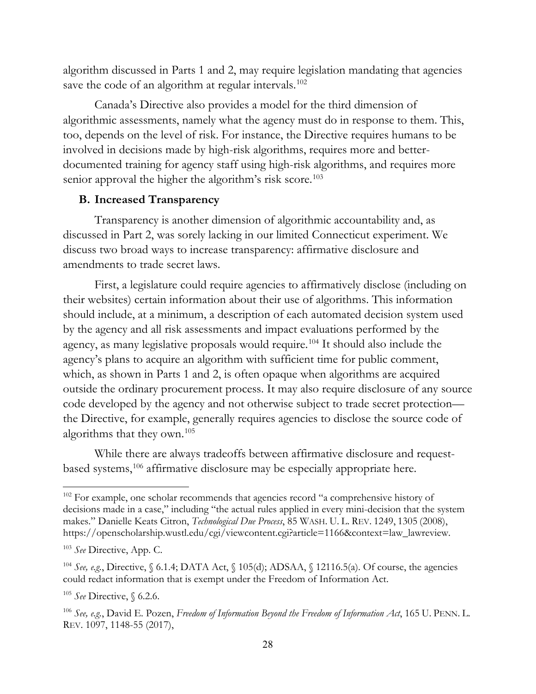algorithm discussed in Parts 1 and 2, may require legislation mandating that agencies save the code of an algorithm at regular intervals.<sup>[102](#page-31-0)</sup>

Canada's Directive also provides a model for the third dimension of algorithmic assessments, namely what the agency must do in response to them. This, too, depends on the level of risk. For instance, the Directive requires humans to be involved in decisions made by high-risk algorithms, requires more and betterdocumented training for agency staff using high-risk algorithms, and requires more senior approval the higher the algorithm's risk score.<sup>[103](#page-31-1)</sup>

## **B. Increased Transparency**

Transparency is another dimension of algorithmic accountability and, as discussed in Part 2, was sorely lacking in our limited Connecticut experiment. We discuss two broad ways to increase transparency: affirmative disclosure and amendments to trade secret laws.

First, a legislature could require agencies to affirmatively disclose (including on their websites) certain information about their use of algorithms. This information should include, at a minimum, a description of each automated decision system used by the agency and all risk assessments and impact evaluations performed by the agency, as many legislative proposals would require.[104](#page-31-2) It should also include the agency's plans to acquire an algorithm with sufficient time for public comment, which, as shown in Parts 1 and 2, is often opaque when algorithms are acquired outside the ordinary procurement process. It may also require disclosure of any source code developed by the agency and not otherwise subject to trade secret protection the Directive, for example, generally requires agencies to disclose the source code of algorithms that they own.[105](#page-31-3)

While there are always tradeoffs between affirmative disclosure and request-based systems,<sup>[106](#page-31-4)</sup> affirmative disclosure may be especially appropriate here.

<span id="page-31-0"></span><sup>&</sup>lt;sup>102</sup> For example, one scholar recommends that agencies record "a comprehensive history of decisions made in a case," including "the actual rules applied in every mini-decision that the system makes." Danielle Keats Citron, *Technological Due Process*, 85 WASH. U. L. REV. 1249, 1305 (2008), [https://openscholarship.wustl.edu/cgi/viewcontent.cgi?article=1166&context=law\\_lawreview.](https://openscholarship.wustl.edu/cgi/viewcontent.cgi?article=1166&context=law_lawreview)

<span id="page-31-1"></span><sup>103</sup> *See* Directive, App. C.

<span id="page-31-2"></span><sup>&</sup>lt;sup>104</sup> See, e.g., Directive,  $\S$  6.1.4; DATA Act,  $\S$  105(d); ADSAA,  $\S$  12116.5(a). Of course, the agencies could redact information that is exempt under the Freedom of Information Act.

<span id="page-31-3"></span><sup>105</sup> *See* Directive, § 6.2.6.

<span id="page-31-4"></span><sup>106</sup> *See, e.g.*, David E. Pozen, *Freedom of Information Beyond the Freedom of Information Act*, 165 U. PENN. L. REV. 1097, 1148-55 (2017),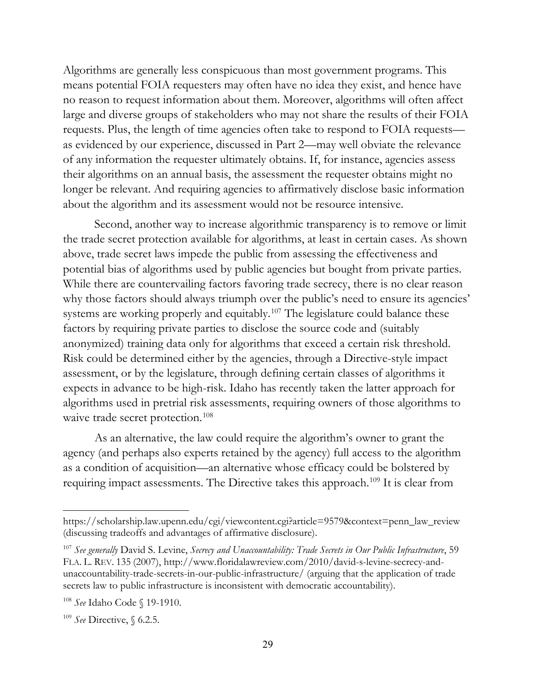Algorithms are generally less conspicuous than most government programs. This means potential FOIA requesters may often have no idea they exist, and hence have no reason to request information about them. Moreover, algorithms will often affect large and diverse groups of stakeholders who may not share the results of their FOIA requests. Plus, the length of time agencies often take to respond to FOIA requests as evidenced by our experience, discussed in Part 2—may well obviate the relevance of any information the requester ultimately obtains. If, for instance, agencies assess their algorithms on an annual basis, the assessment the requester obtains might no longer be relevant. And requiring agencies to affirmatively disclose basic information about the algorithm and its assessment would not be resource intensive.

Second, another way to increase algorithmic transparency is to remove or limit the trade secret protection available for algorithms, at least in certain cases. As shown above, trade secret laws impede the public from assessing the effectiveness and potential bias of algorithms used by public agencies but bought from private parties. While there are countervailing factors favoring trade secrecy, there is no clear reason why those factors should always triumph over the public's need to ensure its agencies' systems are working properly and equitably.<sup>[107](#page-32-0)</sup> The legislature could balance these factors by requiring private parties to disclose the source code and (suitably anonymized) training data only for algorithms that exceed a certain risk threshold. Risk could be determined either by the agencies, through a Directive-style impact assessment, or by the legislature, through defining certain classes of algorithms it expects in advance to be high-risk. Idaho has recently taken the latter approach for algorithms used in pretrial risk assessments, requiring owners of those algorithms to waive trade secret protection.<sup>[108](#page-32-1)</sup>

As an alternative, the law could require the algorithm's owner to grant the agency (and perhaps also experts retained by the agency) full access to the algorithm as a condition of acquisition—an alternative whose efficacy could be bolstered by requiring impact assessments. The Directive takes this approach.[109](#page-32-2) It is clear from

[https://scholarship.law.upenn.edu/cgi/viewcontent.cgi?article=9579&context=penn\\_law\\_review](https://scholarship.law.upenn.edu/cgi/viewcontent.cgi?article=9579&context=penn_law_review) (discussing tradeoffs and advantages of affirmative disclosure).

<span id="page-32-0"></span><sup>107</sup> *See generally* David S. Levine, *Secrecy and Unaccountability: Trade Secrets in Our Public Infrastructure*, 59 FLA. L. REV. 135 (2007), [http://www.floridalawreview.com/2010/david-s-levine-secrecy-and](http://www.floridalawreview.com/2010/david-s-levine-secrecy-and-unaccountability-trade-secrets-in-our-public-infrastructure/)[unaccountability-trade-secrets-in-our-public-infrastructure/](http://www.floridalawreview.com/2010/david-s-levine-secrecy-and-unaccountability-trade-secrets-in-our-public-infrastructure/) (arguing that the application of trade secrets law to public infrastructure is inconsistent with democratic accountability).

<span id="page-32-1"></span><sup>108</sup> *See* Idaho Code § 19-1910.

<span id="page-32-2"></span><sup>109</sup> *See* Directive, § 6.2.5.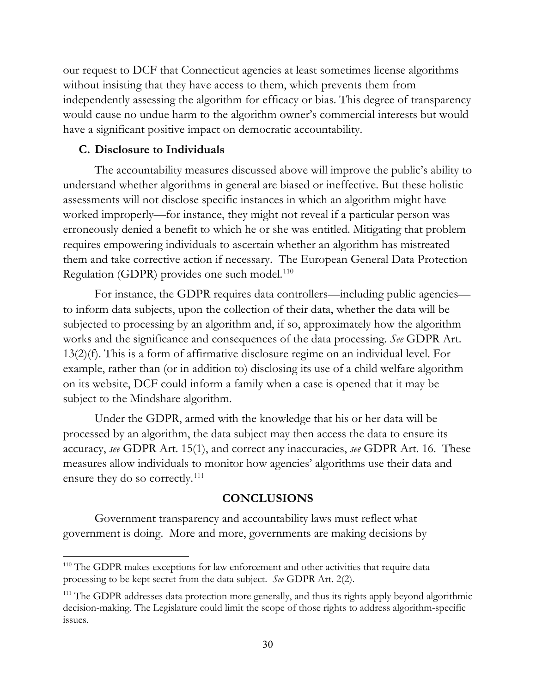our request to DCF that Connecticut agencies at least sometimes license algorithms without insisting that they have access to them, which prevents them from independently assessing the algorithm for efficacy or bias. This degree of transparency would cause no undue harm to the algorithm owner's commercial interests but would have a significant positive impact on democratic accountability.

#### **C. Disclosure to Individuals**

The accountability measures discussed above will improve the public's ability to understand whether algorithms in general are biased or ineffective. But these holistic assessments will not disclose specific instances in which an algorithm might have worked improperly—for instance, they might not reveal if a particular person was erroneously denied a benefit to which he or she was entitled. Mitigating that problem requires empowering individuals to ascertain whether an algorithm has mistreated them and take corrective action if necessary. The European General Data Protection Regulation (GDPR) provides one such model.<sup>[110](#page-33-0)</sup>

For instance, the GDPR requires data controllers—including public agencies to inform data subjects, upon the collection of their data, whether the data will be subjected to processing by an algorithm and, if so, approximately how the algorithm works and the significance and consequences of the data processing. *See* GDPR Art. 13(2)(f). This is a form of affirmative disclosure regime on an individual level. For example, rather than (or in addition to) disclosing its use of a child welfare algorithm on its website, DCF could inform a family when a case is opened that it may be subject to the Mindshare algorithm.

Under the GDPR, armed with the knowledge that his or her data will be processed by an algorithm, the data subject may then access the data to ensure its accuracy, *see* GDPR Art. 15(1), and correct any inaccuracies, *see* GDPR Art. 16. These measures allow individuals to monitor how agencies' algorithms use their data and ensure they do so correctly.<sup>[111](#page-33-1)</sup>

#### **CONCLUSIONS**

Government transparency and accountability laws must reflect what government is doing. More and more, governments are making decisions by

<span id="page-33-0"></span><sup>&</sup>lt;sup>110</sup> The GDPR makes exceptions for law enforcement and other activities that require data processing to be kept secret from the data subject. *See* GDPR Art. 2(2).

<span id="page-33-1"></span><sup>&</sup>lt;sup>111</sup> The GDPR addresses data protection more generally, and thus its rights apply beyond algorithmic decision-making. The Legislature could limit the scope of those rights to address algorithm-specific issues.